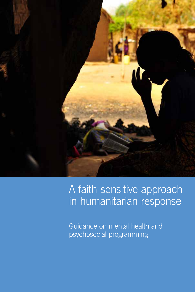

# A faith-sensitive approach in humanitarian response

Guidance on mental health and psychosocial programming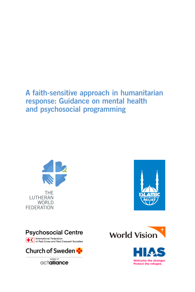# A faith-sensitive approach in humanitarian response: Guidance on mental health and psychosocial programming



**FFDERATION** 



## **Psychosocial Centre** TC International Federation<br>of Red Cross and Red Crescent Societies





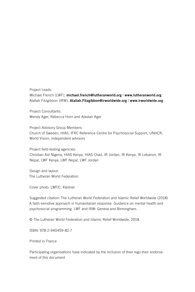Project Leads:

Michael French (LWF), michael.french@lutheranworld.org | www.lutheranworld.org Atallah Fitzgibbon (IRW), Atallah.Fitzgibbon@irworldwide.org | www.irworldwide.org

Project Consultants: Wendy Ager, Rebecca Horn and Alastair Ager

Project Advisory Group Members: Church of Sweden, HIAS, IFRC Reference Centre for Psychosocial Support, UNHCR, World Vision, independent advisors

Project field-testing agencies:

Christian Aid Nigeria, HIAS Kenya, HIAS Chad, IR Jordan, IR Kenya, IR Lebanon, IR Nepal, LWF Kenya, LWF Nepal, LWF Jordan

Design and layout: The Lutheran World Federation

Cover photo: LWF/C. Kästner

Suggested citation: The Lutheran World Federation and Islamic Relief Worldwide (2018) A faith-sensitive approach in humanitarian response: Guidance on mental health and psychosocial programming. LWF and IRW: Geneva and Birmingham.

© The Lutheran World Federation and Islamic Relief Worldwide, 2018.

ISBN: 978-2-940459-82-7

Printed in France

Participating organisations have indicated by the inclusion of their logo their endorsement of this document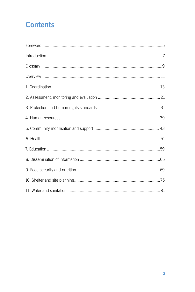# **Contents**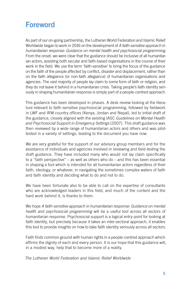# Foreword

As part of our on-going partnership, the Lutheran World Federation and Islamic Relief Worldwide began to work in 2016 on the development of *A faith-sensitive approach in humanitarian response: Guidance on mental health and psychosocial programming*. From the onset, we were clear that the guidance should be inclusive of all humanitarian actors, assisting both secular and faith-based organisations in the course of their work in the field. We use the term 'faith-sensitive' to bring the focus of the guidance on the faith of the people affected by conflict, disaster and displacement, rather than on the faith allegiance (or non-faith allegiance) of humanitarian organisations and agencies. The vast majority of people lay claim to some form of faith or religion, and they do not leave it behind in a humanitarian crisis. Taking people's faith identity seriously in shaping humanitarian response is simply part of a people-centred approach.

This guidance has been developed in phases. A desk review looking at the literature relevant to faith-sensitive psychosocial programming, followed by fieldwork in LWF and IRW country offices (Kenya, Jordan and Nepal), led to initial draft of the guidance, closely aligned with the existing IASC *Guidelines on Mental Health and Psychosocial Support in Emergency Settings* (2007). This draft guidance was then reviewed by a wide range of humanitarian actors and others and was pilottested in a variety of settings, leading to the document you have now.

We are very grateful for the support of our advisory group members and for the assistance of individuals and agencies involved in reviewing and field-testing the draft guidance. They have included many who would not lay claim specifically to a "faith perspective" – as well as others who do – and this has been essential in shaping a tool which is intended for all humanitarian actors regardless of their faith, ideology, or whatever, in navigating the sometimes complex waters of faith and faith identity and deciding what to do and not to do.

We have been fortunate also to be able to call on the expertise of consultants who are acknowledged leaders in this field, and much of the content and the hard work behind it, is thanks to them.

We hope *A faith-sensitive approach in humanitarian response: Guidance on mental health and psychosocial programming* will be a useful tool across all sectors of humanitarian response. Psychosocial support is a logical entry point for looking at faith identity, but precisely because it takes an inter-sectoral approach, it enables this tool to provide insights on how to take faith identity seriously across all sectors.

Faith finds common ground with human rights in a people-centred approach which affirms the dignity of each and every person. It is our hope that this guidance will, in a modest way, help that to become more of a reality.

*The Lutheran World Federation and Islamic Relief Worldwide*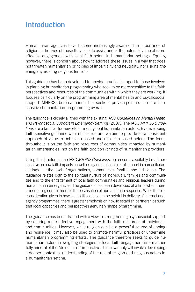# Introduction

Humanitarian agencies have become increasingly aware of the importance of religion in the lives of those they seek to assist and of the potential value of more effective engagement with local faith actors in humanitarian settings. Equally, however, there is concern about how to address these issues in a way that does not threaten humanitarian principles of impartiality and neutrality, nor risk heightening any existing religious tensions.

This guidance has been developed to provide practical support to those involved in planning humanitarian programming who seek to be more sensitive to the faith perspectives and resources of the communities within which they are working. It focuses particularly on the programming area of mental health and psychosocial support (MHPSS), but in a manner that seeks to provide pointers for more faithsensitive humanitarian programming overall.

The guidance is closely aligned with the existing IASC *Guidelines on Mental Health and Psychosocial Support in Emergency Settings* (2007). The IASC *MHPSS Guidelines* are a familiar framework for most global humanitarian actors. By developing faith-sensitive guidance within this structure, we aim to provide for a consistent approach of value to both faith-based and non-faith-based actors. The focus throughout is on the faith and resources of communities impacted by humanitarian emergencies, not on the faith tradition (or not) of humanitarian providers.

Using the structure of the IASC *MHPSS Guidelines* also ensures a suitably broad perspective on how faith impacts on wellbeing and mechanisms of support in humanitarian settings – at the level of organisations, communities, families and individuals. The guidance relates both to the spiritual nurture of individuals, families and communities and to the engagement of local faith communities and religious leaders during humanitarian emergencies. The guidance has been developed at a time when there is increasing commitment to the localisation of humanitarian response. While there is consideration given to how local faith actors can be helpful in delivery of international agency programmes, there is greater emphasis on how to establish partnerships such that local capacities and perspectives genuinely shape programming.

The guidance has been drafted with a view to strengthening psychosocial support by securing more effective engagement with the faith resources of individuals and communities. However, while religion can be a powerful source of coping and resilience, it may also be used to promote harmful practices or undermine humanitarian programming efforts. The guidance therefore seeks to guide humanitarian actors in weighing strategies of local faith engagement in a manner fully mindful of the "do no harm" imperative. This invariably will involve developing a deeper contextual understanding of the role of religion and religious actors in a humanitarian setting.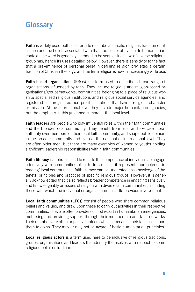# **Glossary**

Faith is widely used both as a term to describe a specific religious tradition or affiliation and the beliefs associated with that tradition or affiliation. In humanitarian contexts the word is generally intended to be seen as inclusive of diverse religious groupings, hence its uses detailed below. However, there is sensitivity to the fact that a pre-eminence of personal belief in defining religion privileges a certain tradition of Christian theology, and the term religion is now in increasingly wide use.

Faith-based organisations (FBOs) is a term used to describe a broad range of organisations influenced by faith. They include religious and religion-based organisations/groups/networks; communities belonging to a place of religious worship; specialised religious institutions and religious social service agencies; and registered or unregistered non-profit institutions that have a religious character or mission. At the international level they include major humanitarian agencies, but the emphasis in this guidance is more at the local level.

**Faith leaders** are people who play influential roles within their faith communities and the broader local community. They benefit from trust and exercise moral authority over members of their local faith community, and shape public opinion in the broader community and even at the national or international level. They are often older men, but there are many examples of women or youths holding significant leadership responsibilities within faith communities.

**Faith literacy** is a phrase used to refer to the competence of individuals to engage effectively with communities of faith. In so far as it represents competence in 'reading' local communities, faith literacy can be understood as knowledge of the tenets, principles and practices of specific religious groups. However, it is generally acknowledged that it also reflects broader competence in engaging sensitively and knowledgeably on issues of religion with diverse faith communities, including those with which the individual or organization has little previous involvement.

Local faith communities (LFCs) consist of people who share common religious beliefs and values, and draw upon these to carry out activities in their respective communities. They are often providers of first resort in humanitarian emergencies, mobilising and providing support through their membership and faith networks. Their members are often unpaid volunteers who act because their faith calls upon them to do so. They may or may not be aware of basic humanitarian principles.

Local religious actors is a term used here to be inclusive of religious traditions, groups, organisations and leaders that identify themselves with respect to some religious belief or tradition.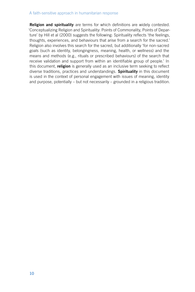#### A faith-sensitive approach in humanitarian response

Religion and spirituality are terms for which definitions are widely contested. 'Conceptualizing Religion and Spirituality: Points of Commonality, Points of Departure' by Hill et al (2000) suggests the following: Spirituality reflects 'the feelings, thoughts, experiences, and behaviours that arise from a search for the sacred.' Religion also involves this search for the sacred, but additionally 'for non-sacred goals (such as identity, belongingness, meaning, health, or wellness) and the means and methods (e.g., rituals or prescribed behaviours) of the search that receive validation and support from within an identifiable group of people.' In this document, *religion* is generally used as an inclusive term seeking to reflect diverse traditions, practices and understandings. Spirituality in this document is used in the context of personal engagement with issues of meaning, identity and purpose, potentially – but not necessarily – grounded in a religious tradition.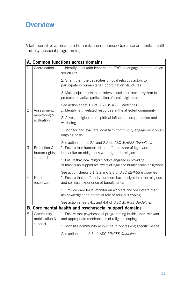# **Overview**

A faith-sensitive approach in humanitarian response: Guidance on mental health and psychosocial programming

|                | A. Common functions across domains        |                                                                                                                                    |  |  |
|----------------|-------------------------------------------|------------------------------------------------------------------------------------------------------------------------------------|--|--|
| $\mathbf{1}$   | Coordination                              | 1. Identify local faith leaders and FBOs to engage in coordination<br>structures                                                   |  |  |
|                |                                           | 2. Strengthen the capacities of local religious actors to<br>participate in humanitarian coordination structures                   |  |  |
|                |                                           | 3. Make adjustments to the intersectoral coordination system to<br>promote the active participation of local religious actors.     |  |  |
|                |                                           | See action sheet 1.1 of IASC MHPSS Guidelines                                                                                      |  |  |
| $\overline{c}$ | Assessment,<br>monitoring &<br>evaluation | 1. Identify faith-related resources in the affected community                                                                      |  |  |
|                |                                           | 2. Assess religious and spiritual influences on protection and<br>wellbeing                                                        |  |  |
|                |                                           | 3. Monitor and evaluate local faith community engagement on an<br>ongoing basis                                                    |  |  |
|                |                                           | See action sheets 2.1 and 2.2 of IASC MHPSS Guidelines                                                                             |  |  |
| 3              | Protection &<br>human rights<br>standards | 1. Ensure that humanitarian staff are aware of legal and<br>humanitarian obligations with regard to religion                       |  |  |
|                |                                           | 2. Ensure that local religious actors engaged in providing<br>humanitarian support are aware of legal and humanitarian obligations |  |  |
|                |                                           | See action sheets 3.1, 3.2 and 3.3 of IASC MHPSS Guidelines                                                                        |  |  |
| 4              | Human<br>resources                        | 1. Ensure that staff and volunteers have insight into the religious<br>and spiritual experience of beneficiaries                   |  |  |
|                |                                           | 2. Provide care for humanitarian workers and volunteers that<br>acknowledges the potential role of religious coping                |  |  |
|                |                                           | See action sheets 4.1 and 4.4 of IASC MHPSS Guidelines                                                                             |  |  |
|                |                                           | B. Core mental health and psychosocial support domains                                                                             |  |  |
| 5              | Community<br>mobilisation &<br>support    | 1. Ensure that psychosocial programming builds upon relevant<br>and appropriate mechanisms of religious coping                     |  |  |
|                |                                           | 2. Mobilise community resources in addressing specific needs                                                                       |  |  |
|                |                                           | See action sheet 5.3 of IASC MHPSS Guidelines                                                                                      |  |  |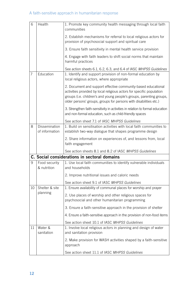## A faith-sensitive approach in humanitarian response

| 6  | Health                                       | 1. Promote key community health messaging through local faith<br>communities                                                                                                                                                                                                        |  |  |  |
|----|----------------------------------------------|-------------------------------------------------------------------------------------------------------------------------------------------------------------------------------------------------------------------------------------------------------------------------------------|--|--|--|
|    |                                              | 2. Establish mechanisms for referral to local religious actors for<br>provision of psychosocial support and spiritual care                                                                                                                                                          |  |  |  |
|    |                                              | 3. Ensure faith sensitivity in mental health service provision                                                                                                                                                                                                                      |  |  |  |
|    |                                              | 4. Engage with faith leaders to shift social norms that maintain<br>harmful practices                                                                                                                                                                                               |  |  |  |
|    |                                              | See action sheets 6.1, 6.2, 6.3, and 6.4 of IASC MHPSS Guidelines                                                                                                                                                                                                                   |  |  |  |
| 7  | Education                                    | 1. Identify and support provision of non-formal education by<br>local religious actors, where appropriate                                                                                                                                                                           |  |  |  |
|    |                                              | 2. Document and support effective community-based educational<br>activities provided by local religious actors for specific population<br>groups (i.e. children's and young people's groups, parenting groups,<br>older persons' groups, groups for persons with disabilities etc.) |  |  |  |
|    |                                              | 3. Strengthen faith-sensitivity in activities in relation to formal education<br>and non-formal education, such as child-friendly spaces                                                                                                                                            |  |  |  |
|    |                                              | See action sheet 7.1 of IASC MHPSS Guidelines                                                                                                                                                                                                                                       |  |  |  |
| 8  | Dissemination<br>of information              | 1. Build on sensitisation activities with local faith communities to<br>establish two-way dialogue that shapes programme design                                                                                                                                                     |  |  |  |
|    |                                              | 2. Share information on experiences of, and lessons from, local<br>faith engagement                                                                                                                                                                                                 |  |  |  |
|    |                                              | See action sheets 8.1 and 8.2 of IASC MHPSS Guidelines                                                                                                                                                                                                                              |  |  |  |
|    | C. Social considerations in sectoral domains |                                                                                                                                                                                                                                                                                     |  |  |  |
| 9  | Food security<br>& nutrition                 | 1. Use local faith communities to identify vulnerable individuals<br>and households                                                                                                                                                                                                 |  |  |  |
|    |                                              | 2. Improve nutritional issues and caloric needs                                                                                                                                                                                                                                     |  |  |  |
|    |                                              | See action sheet 9.1 of IASC MHPSS Guidelines                                                                                                                                                                                                                                       |  |  |  |
| 10 | Shelter & site<br>planning                   | 1. Ensure availability of communal places for worship and prayer                                                                                                                                                                                                                    |  |  |  |
|    |                                              | 2. Use places of worship and other religious spaces for<br>psychosocial and other humanitarian programming                                                                                                                                                                          |  |  |  |
|    |                                              | 3. Ensure a faith-sensitive approach in the provision of shelter                                                                                                                                                                                                                    |  |  |  |
|    |                                              | 4. Ensure a faith-sensitive approach in the provision of non-food items                                                                                                                                                                                                             |  |  |  |
|    |                                              | See action sheet 10.1 of IASC MHPSS Guidelines                                                                                                                                                                                                                                      |  |  |  |
| 11 | Water &<br>sanitation                        | 1. Involve local religious actors in planning and design of water<br>and sanitation provision                                                                                                                                                                                       |  |  |  |
|    |                                              | 2. Make provision for WASH activities shaped by a faith-sensitive<br>approach                                                                                                                                                                                                       |  |  |  |
|    |                                              | See action sheet 11.1 of IASC MHPSS Guidelines                                                                                                                                                                                                                                      |  |  |  |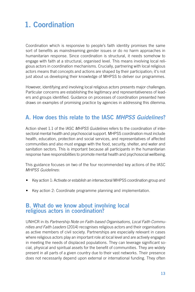# 1. Coordination

Coordination which is responsive to people's faith identity promises the same sort of benefits as mainstreaming gender issues or do no harm approaches in humanitarian response. Since coordination is structural, it needs somehow to engage with faith at a structural, organised level. This means involving local religious actors in coordination mechanisms. Crucially, partnering with local religious actors means that concepts and actions are shaped by their participation; it's not just about us developing their knowledge of MHPSS to deliver our programmes.

However, identifying and involving local religious actors presents major challenges. Particular concerns are establishing the legitimacy and representativeness of leaders and groups identified. Guidance on processes of coordination presented here draws on examples of promising practice by agencies in addressing this dilemma.

## A. How does this relate to the IASC *MHPSS Guidelines*?

Action sheet 1.1 of the IASC *MHPSS Guidelines* refers to the coordination of intersectoral mental health and psychosocial support. MHPSS coordination must include health, education, protection and social services, and representatives of affected communities and also must engage with the food, security, shelter, and water and sanitation sectors. This is important because all participants in the humanitarian response have responsibilities to promote mental health and psychosocial wellbeing.

This guidance focuses on two of the four recommended key actions of the IASC *MHPSS Guidelines*:

- Key action 1: Activate or establish an intersectoral MHPSS coordination group and
- Key action 2: Coordinate programme planning and implementation.

## B. What do we know about involving local religious actors in coordination?

UNHCR in its *Partnership Note on Faith-based Organisations, Local Faith Communities and Faith Leaders* (2014) recognises religious actors and their organisations as active members of civil society. Partnerships are especially relevant in cases where religious actors play an important role at local level and are actively engaged in meeting the needs of displaced populations. They can leverage significant social, physical and spiritual assets for the benefit of communities. They are widely present in all parts of a given country due to their vast networks. Their presence does not necessarily depend upon external or international funding. They often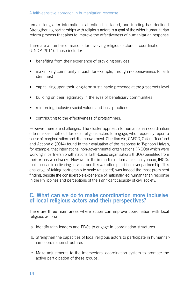remain long after international attention has faded, and funding has declined. Strengthening partnerships with religious actors is a goal of the wider humanitarian reform process that aims to improve the effectiveness of humanitarian response.

There are a number of reasons for involving religious actors in coordination (UNDP, 2014). These include:

- benefiting from their experience of providing services
- maximizing community impact (for example, through responsiveness to faith identities)
- capitalizing upon their long-term sustainable presence at the grassroots level
- building on their legitimacy in the eyes of beneficiary communities
- reinforcing inclusive social values and best practices
- contributing to the effectiveness of programmes.

However there are challenges. The cluster approach to humanitarian coordination often makes it difficult for local religious actors to engage, who frequently report a sense of marginalization and disempowerment. Christian Aid, CAFOD, Oxfam, Tearfund and ActionAid (2014) found in their evaluation of the response to Typhoon Haiyan, for example, that international non-governmental organisations (INGOs) which were working in partnership with national faith-based organisations (FBOs) benefited from their extensive networks. However, in the immediate aftermath of the typhoon, INGOs took the lead in delivering services and this was often prioritised over partnership. This challenge of taking partnership to scale (at speed) was indeed the most prominent finding, despite the considerable experience of nationally led humanitarian response in the Philippines and perceptions of the significant capacity of civil society.

## C. What can we do to make coordination more inclusive of local religious actors and their perspectives?

There are three main areas where action can improve coordination with local religious actors:

- a. Identify faith leaders and FBOs to engage in coordination structures
- b. Strengthen the capacities of local religious actors to participate in humanitarian coordination structures
- c. Make adjustments to the intersectoral coordination system to promote the active participation of these groups.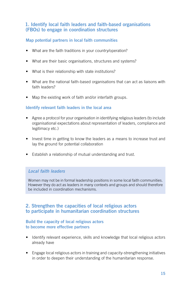## 1. Identify local faith leaders and faith-based organisations (FBOs) to engage in coordination structures

### Map potential partners in local faith communities

- What are the faith traditions in your country/operation?
- What are their basic organisations, structures and systems?
- What is their relationship with state institutions?
- What are the national faith-based organisations that can act as liaisons with faith leaders?
- Map the existing work of faith and/or interfaith groups.

#### Identify relevant faith leaders in the local area

- Agree a protocol for your organisation in identifying religious leaders (to include organisational expectations about representation of leaders, compliance and legitimacy etc.)
- Invest time in getting to know the leaders as a means to increase trust and lay the ground for potential collaboration
- Establish a relationship of mutual understanding and trust.

## *Local faith leaders*

Women may not be in formal leadership positions in some local faith communities. However they do act as leaders in many contexts and groups and should therefore be included in coordination mechanisms.

## 2. Strengthen the capacities of local religious actors to participate in humanitarian coordination structures

#### Build the capacity of local religious actors to become more effective partners

- Identify relevant experience, skills and knowledge that local religious actors already have
- Engage local religious actors in training and capacity-strengthening initiatives in order to deepen their understanding of the humanitarian response.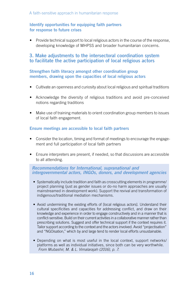### Identify opportunities for equipping faith partners for response to future crises

• Provide technical support to local religious actors in the course of the response, developing knowledge of MHPSS and broader humanitarian concerns.

## 3. Make adjustments to the intersectoral coordination system to facilitate the active participation of local religious actors

#### Strengthen faith literacy amongst other coordination group members, drawing upon the capacities of local religious actors

- Cultivate an openness and curiosity about local religious and spiritual traditions
- Acknowledge the diversity of religious traditions and avoid pre-conceived notions regarding traditions
- Make use of training materials to orient coordination group members to issues of local faith engagement.

### Ensure meetings are accessible to local faith partners

- Consider the location, timing and format of meetings to encourage the engagement and full participation of local faith partners
- Ensure interpreters are present, if needed, so that discussions are accessible to all attending.

#### *Recommendations for International, supranational and intergovernmental actors, INGOs, donors, and development agencies*

- Systematically include tradition and faith as crosscutting elements in programme/ project planning (just as gender issues or do-no harm approaches are usually mainstreamed in development work). Support the revival and transformation of indigenous/traditional mediation mechanisms.
- Avoid undermining the existing efforts of [local religious actors]. Understand their cultural specificities and capacities for addressing conflict, and draw on their knowledge and experience in order to engage constructively and in a manner that is conflict-sensitive. Build on their current activities in a collaborative manner rather than prescribing solutions. Suggest and offer technical support if the context requires it. Tailor support according to the context and the actors involved. Avoid "projectisation" and "NGOisation," which by and large tend to render local efforts unsustainable.
- Depending on what is most useful in the local context, support networks/ platforms as well as individual initiatives, since both can be very worthwhile. *From Mubashir, M. & L. Vimalarajah (2016), p. 7.*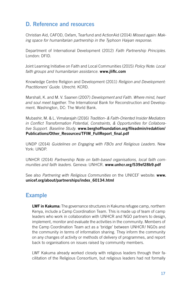## D. Reference and resources

Christian Aid, CAFOD, Oxfam, Tearfund and ActionAid (2014) *Missed again: Making space for humanitarian partnership in the Typhoon Haiyan response.* 

Department of International Development (2012) *Faith Partnership Principles*. London: DFID.

Joint Learning Initiative on Faith and Local Communities (2015) *Policy Note: Local faith groups and humanitarian assistance*. www.jliflc.com

Knowledge Centre Religion and Development (2011) *Religion and Development: Practitioners' Guide*. Utrecht: KCRD.

Marshall, K. and M. V. Saanen (2007) *Development and Faith. Where mind, heart and soul meet together*. The International Bank for Reconstruction and Development. Washington, DC: The World Bank.

Mubashir, M. & L. Vimalarajah (2016) *Tradition- & Faith-Oriented Insider Mediators in Conflict Transformation Potential, Constraints, & Opportunities for Collaborative Support. Baseline Study*. www.berghoffoundation.org/fileadmin/redaktion/ Publications/Other\_Resources/TFIM\_FullReport\_final.pdf

UNDP (2014) *Guidelines on Engaging with FBOs and Religious Leaders*. New York: UNDP.

UNHCR (2014) *Partnership Note on faith-based organisations, local faith communities and faith leaders*. Geneva: UNHCR. www.unhcr.org/539ef28b9.pdf

See also *Partnering with Religious Communities* on the UNICEF website: www. unicef.org/about/partnerships/index\_60134.html

## Example

LWF in Kakuma: The governance structures in Kakuma refugee camp, northern Kenya, include a Camp Coordination Team. This is made up of team of camp leaders who work in collaboration with UNHCR and NGO partners to design, implement, monitor and evaluate the activities in the community. Members of the Camp Coordination Team act as a 'bridge' between UNHCR/ NGOs and the community in terms of information sharing. They inform the community on any changes of activity or methods of delivery of programmes, and report back to organisations on issues raised by community members.

LWF Kakuma already worked closely with religious leaders through their facilitation of the Religious Consortium, but religious leaders had not formally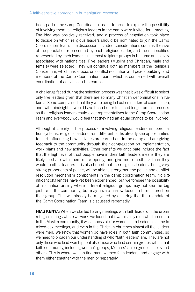#### A faith-sensitive approach in humanitarian response

been part of the Camp Coordination Team. In order to explore the possibility of involving them, all religious leaders in the camp were invited for a meeting. The idea was positively received, and a process of negotiation took place to decide on which religious leaders should be nominated to join the Camp Coordination Team. The discussion included considerations such as the size of the population represented by each religious leader, and the nationalities represented by each leader, since most religious groups in Kakuma are closely associated with nationalities. Five leaders (Muslim and Christian; male and female) were selected. They will continue both as members of the Religious Consortium, which has a focus on conflict resolution and peace building, and members of the Camp Coordination Team, which is concerned with overall coordination of activities in the camps.

A challenge faced during the selection process was that it was difficult to select only five leaders given that there are so many Christian denominations in Kakuma. Some complained that they were being left out on matters of coordination, and, with hindsight, it would have been better to spend longer on this process so that religious leaders could elect representatives to the Camp Coordination Team and everybody would feel that they had an equal chance to be involved.

Although it is early in the process of involving religious leaders in coordination systems, religious leaders from different faiths already see opportunities to start influencing how activities are carried out in the camp and are giving feedback to the community through their congregation on implementation, work plans and new activities. Other benefits we anticipate include the fact that the high level of trust people have in their faith leaders means they are likely to share with them more openly, and give more feedback than they would to other leaders. It is also hoped that the religious leaders, being very strong proponents of peace, will be able to strengthen the peace and conflict resolution mechanism components in the camp coordination team. No significant challenges have yet been experienced, but we foresee the possibility of a situation arising where different religious groups may not see the big picture of the community, but may have a narrow focus on their interest on their group. This will already be mitigated by ensuring that the mandate of the Camp Coordination Team is discussed repeatedly.

**HIAS KENYA:** When we started having meetings with faith leaders in the urban refugee settings where we work, we found that it was mainly men who turned up. In the Muslim community, it was impossible for women faith leaders to come to mixed-sex meetings, and even in the Christian churches almost all the leaders were men. We know that women do have roles in both faith communities, so we need to broaden our understanding of who "faith leaders" are. They are not only those who lead worship, but also those who lead certain groups within that faith community, including women's groups, Mothers' Union groups, choirs and others. This is where we can find more women faith leaders, and engage with them either together with the men or separately.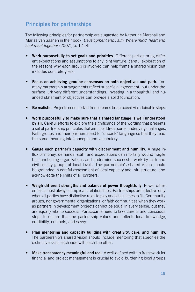## Principles for partnerships

The following principles for partnership are suggested by Katherine Marshall and Marisa Van Saanen in their book, *Development and Faith. Where mind, heart and soul meet together* (2007)*,* p. 12-14:

- Work purposefully to set goals and priorities. Different parties bring different expectations and assumptions to any joint venture; careful exploration of the reasons why each group is involved can help frame a shared vision that includes concrete goals.
- Focus on achieving genuine consensus on both objectives and path. Too many partnership arrangements reflect superficial agreement, but under the surface lurk very different understandings. Investing in a thoughtful and nuanced statement of objectives can provide a solid foundation.
- Be realistic. Projects need to start from dreams but proceed via attainable steps.
- Work purposefully to make sure that a shared language is well understood by all. Careful efforts to explore the significance of the wording that presents a set of partnership principles that aim to address some underlying challenges. Faith groups and their partners need to "unpack" language so that they read the same meaning into concepts and vocabulary.
- Gauge each partner's capacity with discernment and humility. A huge influx of money, demands, staff, and expectations can mortally wound fragile but functioning organizations and undermine successful work by faith and civil society groups at local levels. The partnership's shared vision should be grounded in careful assessment of local capacity and infrastructure, and acknowledge the limits of all partners.
- Weigh different strengths and balance of power thoughtfully. Power differences almost always complicate relationships. Partnerships are effective only when all parties have distinctive roles to play and vital niches to fill. Community groups, nongovernmental organizations, or faith communities when they work as partners in development projects cannot be equal in every sense, but they are equally vital to success. Participants need to take careful and conscious steps to ensure that the partnership values and reflects local knowledge, credibility, contacts, and savvy.
- Plan mentoring and capacity building with creativity, care, and humility. The partnership's shared vision should include mentoring that specifies the distinctive skills each side will teach the other.
- Make transparency meaningful and real. A well-defined written framework for financial and project management is crucial to avoid burdening local groups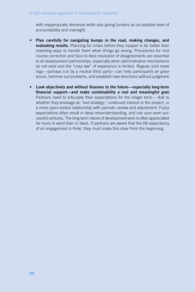with inappropriate demands while also giving funders an acceptable level of accountability and oversight.

- Plan carefully for navigating bumps in the road, making changes, and evaluating results. Planning for crises before they happen is far better than inventing ways to handle them when things go wrong. Procedures for midcourse correction and face-to-face resolution of disagreements are essential to all development partnerships, especially when administrative mechanisms do not exist and the "case law" of experience is limited. Regular joint meetings—perhaps run by a neutral third party—can help participants air grievances, hammer out problems, and establish new directions without judgment.
- Look objectively and without illusions to the future—especially long-term financial support—and make sustainability a real and meaningful goal. Partners need to articulate their expectations for the longer term— that is, whether they envisage an "exit strategy," continued interest in the project, or a more open-ended relationship with periodic review and adjustment. Fuzzy expectations often result in deep misunderstanding, and can sour even successful ventures. The long-term nature of development work is often appreciated far more in word than in deed. If partners are aware that the life expectancy of an engagement is finite, they must make this clear from the beginning.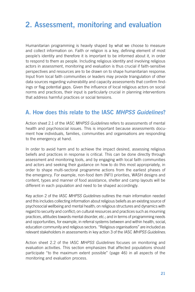# 2. Assessment, monitoring and evaluation

Humanitarian programming is heavily shaped by what we choose to measure and collect information on. Faith or religion is a key, defining element of most people's identity and therefore it is important to be informed about it, in order to respond to them as people. Including religious identity and involving religious actors in assessment, monitoring and evaluation is thus crucial if faith-sensitive perspectives and resources are to be drawn on to shape humanitarian response. Input from local faith communities or leaders may provide triangulation of other data sources regarding vulnerability and capacity assessments that confirm findings or flag potential gaps. Given the influence of local religious actors on social norms and practices, their input is particularly crucial in planning interventions that address harmful practices or social tensions.

## A. How does this relate to the IASC *MHPSS Guidelines*?

Action sheet 2.1 of the IASC *MHPSS Guidelines* refers to assessments of mental health and psychosocial issues. This is important because assessments document how individuals, families, communities and organisations are responding to the emergency at hand.

In order to avoid harm and to achieve the impact desired, assessing religious beliefs and practices in response is critical. This can be done directly through assessment and monitoring tools, and by engaging with local faith communities and actors and seeking their guidance on how to do this most appropriately, in order to shape multi-sectoral programme actions from the earliest phases of the emergency. For example, non-food item (NFI) priorities, WASH designs and content, types and manner of food assistance, shelter and camp layouts will be different in each population and need to be shaped accordingly.

Key action 2 of the IASC *MHPSS Guidelines* outlines the main information needed and this includes collecting information about religious beliefs as an existing source of psychosocial wellbeing and mental health; on religious structures and dynamics with regard to security and conflict; on cultural resources and practices such as mourning practices, attitudes towards mental disorder, etc.; and in terms of programming needs and opportunities, for example, in referral systems between and within health, social, education community and religious sectors. "Religious organisations" are included as relevant stakeholders in assessments in key action 3 of the IASC *MHPSS Guidelines*.

Action sheet 2.2 of the IASC *MHPSS Guidelines* focuses on monitoring and evaluation activities. This section emphasizes that affected populations should participate "to the maximum extent possible" (page 46) in all aspects of the monitoring and evaluation process.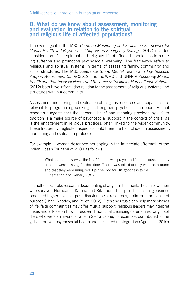## B. What do we know about assessment, monitoring and evaluation in relation to the spiritual and religious life of affected populations?

The overall goal in the IASC *Common Monitoring and Evaluation Framework for Mental Health and Psychosocial Support in Emergency Settings* (2017) includes consideration of the spiritual and religious life of affected populations in reducing suffering and promoting psychosocial wellbeing. The framework refers to religious and spiritual systems in terms of assessing family, community and social structures. The IASC *Reference Group Mental Health and Psychosocial Support Assessment Guide* (2012) and the WHO and UNHCR *Assessing Mental Health and Psychosocial Needs and Resources: Toolkit for Humanitarian Settings*  (2012) both have information relating to the assessment of religious systems and structures within a community.

Assessment, monitoring and evaluation of religious resources and capacities are relevant to programming seeking to strengthen psychosocial support. Recent research suggests that the personal belief and meaning provided by a faith tradition is a major source of psychosocial support in the context of crisis, as is the engagement in religious practices, often linked to the wider community. These frequently neglected aspects should therefore be included in assessment, monitoring and evaluation protocols.

For example, a woman described her coping in the immediate aftermath of the Indian Ocean Tsunami of 2004 as follows:

> What helped me survive the first 12 hours was prayer and faith because both my children were missing for that time. Then I was told that they were both found and that they were uninjured. I praise God for His goodness to me. *(Fernando and Hebert, 2011)*

In another example, research documenting changes in the mental health of women who survived Hurricanes Katrina and Rita found that pre-disaster religiousness predicted higher levels of post-disaster social resources, optimism and sense of purpose (Chan, Rhodes, and Perez, 2012). Rites and rituals can help mark phases of life; faith communities may offer mutual support; religious leaders may interpret crises and advise on how to recover. Traditional cleansing ceremonies for girl soldiers who were survivors of rape in Sierra Leone, for example, contributed to the girls' improved psychosocial health and facilitated reintegration (Ager et al, 2010).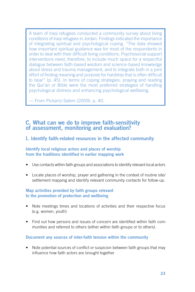A team of Iraqi refugees conducted a community survey about living conditions of Iraqi refugees in Jordan. Findings indicated the importance of integrating spiritual and psychological coping. "The data showed how important spiritual guidance was for most of the respondents in order to deal with their difficult living conditions. Psychosocial support interventions need, therefore, to include much space for a respectful dialogue between faith-based wisdom and science-based knowledge about stress and trauma management, and to integrate both in a joint effort of finding meaning and purpose for hardship that is often difficult to bear" (p. 45). In terms of coping strategies, praying and reading the Qur'an or Bible were the most preferred strategies of handling psychological distress and enhancing psychological wellbeing.

— From Pickartz-Salem (2009), p. 40.

## C. What can we do to improve faith-sensitivity of assessment, monitoring and evaluation?

## 1. Identify faith-related resources in the affected community

Identify local religious actors and places of worship from the traditions identified in earlier mapping work

- Use contacts within faith groups and associations to identify relevant local actors
- Locate places of worship, prayer and gathering in the context of routine site/ settlement mapping and identify relevant community contacts for follow-up.

### Map activities provided by faith groups relevant to the promotion of protection and wellbeing

- Note meetings times and locations of activities and their respective focus (e.g. women, youth)
- Find out how persons and issues of concern are identified within faith communities and referred to others (either within faith groups or to others).

### Document any sources of inter-faith tension within the community

• Note potential sources of conflict or suspicion between faith groups that may influence how faith actors are brought together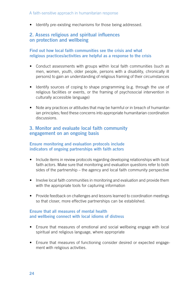• Identify pre-existing mechanisms for those being addressed.

## 2. Assess religious and spiritual influences on protection and wellbeing

### Find out how local faith communities see the crisis and what religious practices/activities are helpful as a response to the crisis

- Conduct assessments with groups within local faith communities (such as men, women, youth, older people, persons with a disability, chronically ill persons) to gain an understanding of religious framing of their circumstances
- Identify sources of coping to shape programming (e.g. through the use of religious facilities or events, or the framing of psychosocial intervention in culturally accessible language)
- Note any practices or attitudes that may be harmful or in breach of humanitarian principles; feed these concerns into appropriate humanitarian coordination discussions.

## 3. Monitor and evaluate local faith community engagement on an ongoing basis

### Ensure monitoring and evaluation protocols include indicators of ongoing partnerships with faith actors

- Include items in review protocols regarding developing relationships with local faith actors. Make sure that monitoring and evaluation questions refer to both sides of the partnership – the agency and local faith community perspective
- Involve local faith communities in monitoring and evaluation and provide them with the appropriate tools for capturing information
- Provide feedback on challenges and lessons learned to coordination meetings so that closer, more effective partnerships can be established.

### Ensure that all measures of mental health and wellbeing connect with local idioms of distress

- Ensure that measures of emotional and social wellbeing engage with local spiritual and religious language, where appropriate
- Ensure that measures of functioning consider desired or expected engagement with religious activities.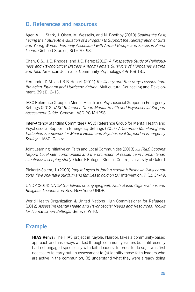## D. References and resources

Ager, A., L. Stark, J. Olsen, M. Wessells, and N. Boothby (2010) *Sealing the Past, Facing the Future An evaluation of a Program to Support the Reintegration of Girls and Young Women Formerly Associated with Armed Groups and Forces in Sierra Leone*. Girlhood Studies, 3(1): 70–93.

Chan, C.S., J.E. Rhodes, and J.E. Perez (2012) *A Prospective Study of Religiousness and Psychological Distress Among Female Survivors of Hurricanes Katrina and Rita*. American Journal of Community Psychology, 49: 168-181.

Fernando, D.M. and B.B Hebert (2011) *Resiliency and Recovery: Lessons from the Asian Tsunami and Hurricane Katrina*. Multicultural Counseling and Development, 39 (1): 2–13.

IASC Reference Group on Mental Health and Psychosocial Support in Emergency Settings (2012) *IASC Reference Group Mental Health and Psychosocial Support Assessment Guide*. Geneva: IASC RG MHPSS.

Inter-Agency Standing Committee (IASC) Reference Group for Mental Health and Psychosocial Support in Emergency Settings (2017) *A Common Monitoring and Evaluation Framework for Mental Health and Psychosocial Support in Emergency Settings*. IASC: Geneva.

Joint Learning Initiative on Faith and Local Communities (2013) *JLI F&LC Scoping Report: Local faith communities and the promotion of resilience in humanitarian situations: a scoping study*. Oxford: Refugee Studies Centre, University of Oxford.

Pickartz-Salem, J. (2009) *Iraqi refugees in Jordan research their own living conditions: "We only have our faith and families to hold on to.*" Intervention, 7, (1): 34-49.

UNDP (2014) *UNDP Guidelines on Engaging with Faith-Based Organizations and Religious Leaders and RLs*. New York: UNDP.

World Health Organization & United Nations High Commissioner for Refugees (2012) *Assessing Mental Health and Psychosocial Needs and Resources: Toolkit for Humanitarian Settings*. Geneva: WHO.

## Example

**HIAS Kenya:** The HIAS project in Kayole, Nairobi, takes a community-based approach and has always worked through community leaders but until recently had not engaged specifically with faith leaders. In order to do so, it was first necessary to carry out an assessment to (a) identify those faith leaders who are active in the community); (b) understand what they were already doing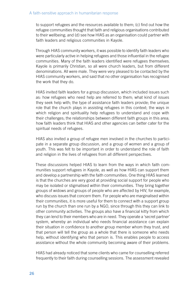to support refugees and the resources available to them; (c) find out how the refugee communities thought that faith and religious organisations contributed to their wellbeing; and (d) see how HIAS as an organisation could partner with faith leaders and religious communities in Kayole.

Through HIAS community workers, it was possible to identify faith leaders who were particularly active in helping refugees and those influential in the refugee communities. Many of the faith leaders identified were refugees themselves. Kayole is primarily Christian, so all were church leaders, but from different denominations. All were male. They were very pleased to be contacted by the HIAS community workers, and said that no other organisation has recognised the work that they do.

HIAS invited faith leaders for a group discussion, which included issues such as: how refugees who need help are referred to them; what kind of issues they seek help with; the type of assistance faith leaders provide; the unique role that the church plays in assisting refugees in this context; the ways in which religion and spirituality help refugees to understand and cope with their challenges; the relationships between different faith groups in this area; how faith leaders think that HIAS and other agencies can better cater for the spiritual needs of refugees.

HIAS also invited a group of refugee men involved in the churches to participate in a separate group discussion, and a group of women and a group of youth. This was felt to be important in order to understand the role of faith and religion in the lives of refugees from all different perspectives.

These discussions helped HIAS to learn from the ways in which faith communities support refugees in Kayole, as well as how HIAS can support them and develop a partnership with the faith communities. One thing HIAS learned is that the churches are very good at providing social support for people who may be isolated or stigmatised within their communities. They bring together groups of widows and groups of people who are affected by HIV, for example, who discuss issues that concern them. For people who are marginalised within their communities, it is more useful for them to connect with a support group run by the church than one run by a NGO, since through this they can link to other community activities. The groups also have a financial kitty from which they can lend to their members who are in need. They operate a 'secret partner' system, whereby an individual who needs financial assistance can explain their situation in confidence to another group member whom they trust, and that person will tell the group as a whole that there is someone who needs help, without identifying who that person is. This enables people to access assistance without the whole community becoming aware of their problems.

HIAS had already noticed that some clients who came for counselling referred frequently to their faith during counselling sessions. The assessment revealed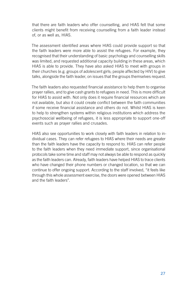that there are faith leaders who offer counselling, and HIAS felt that some clients might benefit from receiving counselling from a faith leader instead of, or as well as, HIAS.

The assessment identified areas where HIAS could provide support so that the faith leaders were more able to assist the refugees. For example, they recognised that their understanding of basic psychology and counselling skills was limited, and requested additional capacity building in these areas, which HIAS is able to provide. They have also asked HIAS to meet with groups in their churches (e.g. groups of adolescent girls; people affected by HIV) to give talks, alongside the faith leader, on issues that the groups themselves request.

The faith leaders also requested financial assistance to help them to organise prayer rallies, and to give cash grants to refugees in need. This is more difficult for HIAS to assist with. Not only does it require financial resources which are not available, but also it could create conflict between the faith communities if some receive financial assistance and others do not. Whilst HIAS is keen to help to strengthen systems within religious institutions which address the psychosocial wellbeing of refugees, it is less appropriate to support one-off events such as prayer rallies and crusades.

HIAS also see opportunities to work closely with faith leaders in relation to individual cases. They can refer refugees to HIAS where their needs are greater than the faith leaders have the capacity to respond to. HIAS can refer people to the faith leaders when they need immediate support, since organisational protocols take some time and staff may not always be able to respond as quickly as the faith leaders can. Already, faith leaders have helped HIAS to trace clients who have changed their phone numbers or changed location, so that we can continue to offer ongoing support. According to the staff involved, "it feels like through this whole assessment exercise, the doors were opened between HIAS and the faith leaders".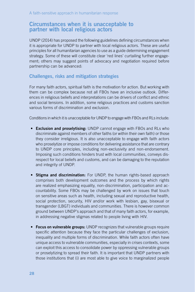## Circumstances when it is unacceptable to partner with local religious actors

UNDP (2014) has proposed the following guidelines defining circumstances when it is appropriate for UNDP to partner with local religious actors. These are useful principles for all humanitarian agencies to use as a guide determining engagement strategy. Some of these will constitute clear 'red lines' curtailing further engagement; others may suggest points of advocacy and negotiation required before partnership can be advanced:

## Challenges, risks and mitigation strategies

For many faith actors, spiritual faith is the motivation for action. But working with them can be complex because not all FBOs have an inclusive outlook. Differences in religious beliefs and interpretations can be drivers of conflict and ethnic and social tensions. In addition, some religious practices and customs sanction various forms of discrimination and exclusion.

Conditions in which it is unacceptable for UNDP to engage with FBOs and RLs include:

- Exclusion and proselytising: UNDP cannot engage with FBOs and RLs who discriminate against members of other faiths (or within their own faith) or those they consider irreligious. It is also unacceptable to engage with faith actors who proselytize or impose conditions for delivering assistance that are contrary to UNDP core principles, including non-exclusivity and non-endorsement. Imposing such conditions hinders trust with local communities, conveys disrespect for local beliefs and customs, and can be damaging to the reputation and integrity of UNDP.
- Stigma and discrimination: For UNDP, the human rights-based approach comprises both development outcomes and the process by which rights are realized emphasizing equality, non-discrimination, participation and accountability. Some FBOs may be challenged by work on issues that touch on sensitive areas such as health, including sexual and reproductive health, social protection, security, HIV and/or work with lesbian, gay, bisexual or transgender (LBGT) individuals and communities. There is however common ground between UNDP's approach and that of many faith actors, for example, in addressing negative stigmas related to people living with HIV.
- Focus on vulnerable groups: UNDP recognizes that vulnerable groups require specific attention because they face the particular challenges of exclusion, inequality and multiple forms of discrimination. While faith actors often have unique access to vulnerable communities, especially in crises contexts, some can exploit this access to consolidate power by oppressing vulnerable groups or proselytizing to spread their faith. It is important that UNDP partners with those institutions that (i) are most able to give voice to marginalized people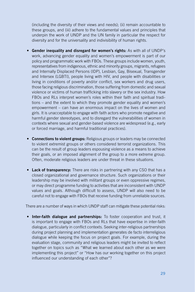(including the diversity of their views and needs); (ii) remain accountable to these groups, and (iii) adhere to the fundamental values and principles that underpin the work of UNDP and the UN family in particular the respect for diversity and for the universality and indivisibility of human rights.

- Gender inequality and disregard for women's rights: As with all of UNDP's work, advancing gender equality and women's empowerment is part of our policy and programmatic work with FBOs. These groups include women, youth, representatives from indigenous, ethnic and minority groups, migrants, refugees and Internally Displaced Persons (IDP), Lesbian, Gay, Bisexual, Transgender and Intersex (LGBTI), people living with HIV, and people with disabilities or living in conditions of poverty and/or conflict, sex workers and drug users, those facing religious discrimination, those suffering from domestic and sexual violence or victims of human trafficking into slavery or the sex industry. How FBOs and RLs interpret women's roles within their faith and spiritual traditions – and the extent to which they promote gender equality and women's empowerment – can have an enormous impact on the lives of women and girls. It is unacceptable to engage with faith actors who promote negative and harmful gender stereotypes, and to disregard the vulnerabilities of women in contexts where sexual and gender-based violence are widespread (e.g., early or forced marriage, and harmful traditional practices).
- Connections to violent groups: Religious groups or leaders may be connected to violent extremist groups or others considered terrorist organizations. This can be the result of group leaders espousing violence as a means to achieve their goals, or an imposed alignment of the group to a more extreme group. Often, moderate religious leaders are under threat in these situations.
- Lack of transparency: There are risks in partnering with any CSO that has a closed organizational and governance structure. Such organizations or their leadership may be involved with militant groups or even oppressive regimes, or may direct programme funding to activities that are inconsistent with UNDP values and goals. Although difficult to assess, UNDP will also need to be careful not to engage with FBOs that receive funding from unreliable sources.

There are a number of ways in which UNDP staff can mitigate these potential risks:

• Inter-faith dialogue and partnerships: To foster cooperation and trust, it is important to engage with FBOs and RLs that have expertise in inter-faith dialogue, particularly in conflict contexts. Seeking inter-religious partnerships during project planning and implementation generates de facto interreligious dialogue while keeping the focus on project goals. For example, during the evaluation stage, community and religious leaders might be invited to reflect together on topics such as "What we learned about each other as we were implementing this project" or "How has our working together on this project influenced our understanding of each other"?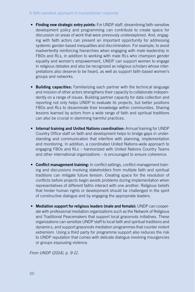#### A faith-sensitive approach in humanitarian response

- Finding new strategic entry points: For UNDP staff, streamlining faith-sensitive development policy and programming can contribute to create space for discussion on areas of work that were previously underexplored. And, engaging with faith actors can present an important opportunity for addressing systemic gender-based inequalities and discrimination. For example, to avoid inadvertently reinforcing hierarchies when engaging with male leadership in FBOs and RLs, in addition to working with male RLs who champion gender equality and women's empowerment, UNDP can support women to engage in religious debates and also be recognized as religious scholars whose interpretations also deserve to be heard, as well as support faith-based women's groups and networks.
- Building capacities: Familiarizing each partner with the technical language and mission of other actors strengthens their capacity to collaborate independently on a range of issues. Building partner capacity for data collection and reporting not only helps UNDP to evaluate its projects, but better positions FBOs and RLs to disseminate their knowledge within communities. Sharing lessons learned by actors from a wide range of faith and spiritual traditions can also be crucial in stemming harmful practices.
- Internal training and United Nations coordination: Annual training for UNDP Country Office staff on faith and development helps to bridge gaps in understanding and communication that interfere with planning, implementation and monitoring. In addition, a coordinated United Nations-wide approach to engaging FBOs and RLs – harmonized with United Nations Country Teams and other international organizations – is encouraged to ensure coherence.
- Conflict management training: In conflict settings, conflict-management training and discussions involving stakeholders from multiple faith and spiritual traditions can mitigate future tension. Creating space for the resolution of conflicts before projects begin avoids problems during implementation when representatives of different faiths interact with one another. Religious beliefs that hinder human rights or development should be challenged in the spirit of constructive dialogue and by engaging the appropriate leaders.
- Mediation support for religious leaders (male and female): UNDP can cooperate with professional mediation organizations such as the Network of Religious and Traditional Peacemakers that support local grassroots initiatives. These organizations can sensitize UNDP staff to local faith and spiritual traditions and dynamics, and support grassroots mediation programmes that counter violent extremism. Using a third party for programme support also reduces the risk to UNDP reputation that comes with delicate dialogue involving insurgencies or groups espousing violence.

*From UNDP (2014), p. 9-11.*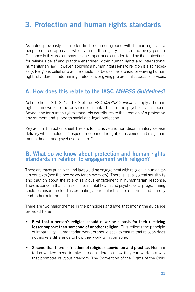# 3. Protection and human rights standards

As noted previously, faith often finds common ground with human rights in a people-centred approach which affirms the dignity of each and every person. Guidance in this area emphasises the importance of understanding the protections for religious belief and practice enshrined within human rights and international humanitarian law. However, applying a human rights lens to religion is also necessary. Religious belief or practice should not be used as a basis for waiving human rights standards, undermining protection, or giving preferential access to services.

## A. How does this relate to the IASC *MHPSS Guidelines*?

Action sheets 3.1, 3.2 and 3.3 of the IASC *MHPSS Guidelines* apply a human rights framework to the provision of mental health and psychosocial support. Advocating for human rights standards contributes to the creation of a protective environment and supports social and legal protection.

Key action 1 in action sheet 1 refers to inclusive and non-discriminatory service delivery which includes "respect freedom of thought, conscience and religion in mental health and psychosocial care."

## B. What do we know about protection and human rights standards in relation to engagement with religion?

There are many principles and laws guiding engagement with religion in humanitarian contexts (see the box below for an overview). There is usually great sensitivity and caution about the role of religious engagement in humanitarian response. There is concern that faith-sensitive mental health and psychosocial programming could be misunderstood as promoting a particular belief or doctrine, and thereby lead to harm in the field.

There are two major themes in the principles and laws that inform the guidance provided here:

- First that a person's religion should never be a basis for their receiving lesser support than someone of another religion. This reflects the principle of impartiality. Humanitarian workers should seek to ensure that religion does not make a difference to how they work with someone.
- Second that there is freedom of religious conviction and practice. Humanitarian workers need to take into consideration how they can work in a way that promotes religious freedom. The Convention of the Rights of the Child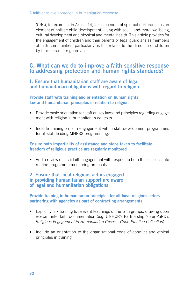#### A faith-sensitive approach in humanitarian response

(CRC), for example, in Article 14, takes account of spiritual nurturance as an element of holistic child development, along with social and moral wellbeing, cultural development and physical and mental health. This article provides for the engagement of children and their parents or legal guardians as members of faith communities, particularly as this relates to the direction of children by their parents or guardians.

## C. What can we do to improve a faith-sensitive response to addressing protection and human rights standards?

## 1. Ensure that humanitarian staff are aware of legal and humanitarian obligations with regard to religion

#### Provide staff with training and orientation on human rights law and humanitarian principles in relation to religion

- Provide basic orientation for staff on key laws and principles regarding engagement with religion in humanitarian contexts
- Include training on faith engagement within staff development programmes for all staff leading MHPSS programming.

#### Ensure both impartiality of assistance and steps taken to facilitate freedom of religious practice are regularly monitored

• Add a review of local faith engagement with respect to both these issues into routine programme monitoring protocols.

### 2. Ensure that local religious actors engaged in providing humanitarian support are aware of legal and humanitarian obligations

Provide training in humanitarian principles for all local religious actors partnering with agencies as part of contracting arrangements

- Explicitly link training to relevant teachings of the faith groups, drawing upon relevant inter-faith documentation (e.g. UNHCR's Partnership Note; PaRD's *Religious Engagement in Humanitarian Crises – Good Practice Collection*)
- Include an orientation to the organisational code of conduct and ethical principles in training.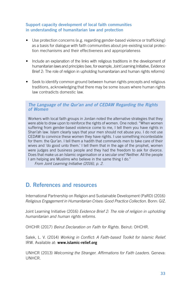### Support capacity development of local faith communities in understanding of humanitarian law and protection

- Use protection concerns (e.g. regarding gender-based violence or trafficking) as a basis for dialogue with faith communities about pre-existing social protection mechanisms and their effectiveness and appropriateness
- Include an explanation of the links with religious traditions in the development of humanitarian laws and principles (see, for example, Joint Learning Initiative, Evidence Brief 2: The role of religion in upholding humanitarian and human rights reforms)
- Seek to identify common ground between human rights precepts and religious traditions, acknowledging that there may be some issues where human rights law contradicts domestic law.

### *The Language of the Qur'an and of CEDAW Regarding the Rights of Women*

Workers with local faith groups in Jordan noted the alternative strategies that they were able to draw upon to reinforce the rights of women. One noted: "When women suffering from gender-based violence come to me, I tell them you have rights in Shari'ah law. Islam clearly says that your men should not abuse you. I do not use CEDAW to convince these women they have rights. I use something incontestable for them: the Qur'an. I tell them a hadith that commands men to take care of their wives and 'do good unto them.' I tell them that in the age of the prophet, women were judges and business people and they had the freedom to ask for divorce. Does that make us an Islamic organisation or a secular one? Neither. All the people I am helping are Muslims who believe in the same thing I do."

*From Joint Learning Initiative (2016), p. 2.*

## D. References and resources

International Partnership on Religion and Sustainable Development (PaRD) (2016) *Religious Engagement in Humanitarian Crises: Good Practice Collection*. Bonn: GIZ.

Joint Learning Initiative (2016) *Evidence Brief 2: The role of religion in upholding humanitarian and human rights reforms*.

OHCHR (2017) *Beirut Declaration on Faith for Rights*. Beirut: OHCHR.

Salek, L. V. (2014) *Working in Conflict: A Faith-based Toolkit for Islamic Relief*. IRW. Available at: www.islamic-relief.org

UNHCR (2013) *Welcoming the Stranger. Affirmations for Faith Leaders*. Geneva: UNHCR.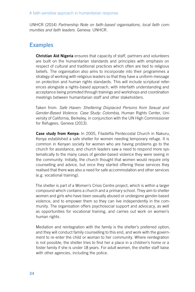UNHCR (2014) *Partnership Note on faith-based organisations, local faith communities and faith leaders*. Geneva: UNHCR.

## **Examples**

Christian Aid Nigeria ensures that capacity of staff, partners and volunteers are built on the humanitarian standards and principles with emphasis on respect of cultural and traditional practices which often are tied to religious beliefs. The organisation also aims to incorporate into their programmes a strategy of working with religious leaders so that they have a uniform message on protection and human rights standards. This will include scriptural references alongside a rights-based approach, with interfaith understanding and acceptance being promoted through trainings and workshops and coordination meetings between humanitarian staff and other stakeholders.

Taken from: *Safe Haven: Sheltering Displaced Persons from Sexual and Gender-Based Violence. Case Study: Colombia,* Human Rights Center, University of California, Berkeley, in conjunction with the UN High Commissioner for Refugees, Geneva (2013).

Case study from Kenya: In 2005, Filadelfia Pentecostal Church in Nakuru, Kenya established a safe shelter for women needing temporary refuge. It is common in Kenyan society for women who are having problems go to the church for assistance, and church leaders saw a need to respond more systematically to the many cases of gender-based violence they were seeing in the community. Initially, the church thought that women would require only counselling and advice, but once they started offering these services they realised that there was also a need for safe accommodation and other services (e.g. vocational training).

The shelter is part of a Women's Crisis Centre project, which is within a larger compound which contains a church and a primary school. They aim to shelter women and girls who have been sexually abused or undergone gender-based violence, and to empower them so they can live independently in the community. The organisation offers psychosocial support and advocacy, as well as opportunities for vocational training, and carries out work on women's human rights.

Mediation and reintegration with the family is the shelter's preferred option, and they will conduct family counselling to this end, and work with the government to re-enter the child or woman to her community. Where reintegration is not possible, the shelter tries to find her a place in a children's home or a foster family if she is under 18 years. For adult women, the shelter staff liaise with other agencies, including the police.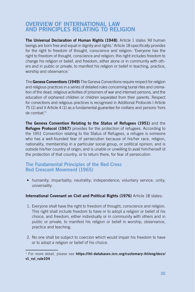# OVERVIEW OF INTERNATIONAL LAW AND PRINCIPLES RELATING TO RELIGION

The Universal Declaration of Human Rights (1948). Article 1 states 'All human beings are born free and equal in dignity and rights.' Article 18 specifically provides for the right to freedom of thought, conscience and religion: 'Everyone has the right to freedom of thought, conscience and religion; this right includes freedom to change his religion or belief, and freedom, either alone or in community with others and in public or private, to manifest his religion or belief in teaching, practice, worship and observance.'

The Geneva Conventions (1949) The Geneva Conventions require respect for religion and religious practices in a series of detailed rules concerning burial rites and cremation of the dead, religious activities of prisoners of war and interned persons, and the education of orphaned children or children separated from their parents. Respect for convictions and religious practices is recognised in Additional Protocols I Article 75 (1) and II Article 4 (1) as a fundamental guarantee for civilians and persons 'hors de combat<sup>'1</sup>

The Geneva Convention Relating to the Status of Refugees (1951) and the Refugee Protocol (1967) provides for the protection of refugees. According to the 1951 Convention relating to the Status of Refugees, a refugee is someone who has a well-founded fear of persecution because of his/her race, religion, nationality, membership in a particular social group, or political opinion; and is outside his/her country of origin; and is unable or unwilling to avail him/herself of the protection of that country, or to return there, for fear of persecution.

#### The Fundamental Principles of the Red Cross Red Crescent Movement (1965)

• humanity; impartiality; neutrality; independence; voluntary service; unity; universality.

#### International Covenant on Civil and Political Rights (1976) Article 18 states:

- 1. Everyone shall have the right to freedom of thought, conscience and religion. This right shall include freedom to have or to adopt a religion or belief of his choice, and freedom, either individually or in community with others and in public or private, to manifest his religion or belief in worship, observance, practice and teaching.
- 2. No one shall be subject to coercion which would impair his freedom to have or to adopt a religion or belief of his choice.

<sup>&</sup>lt;sup>1</sup> For more detail, please see https://ihl-databases.icrc.org/customary-ihl/eng/docs/ v1\_rul\_rule104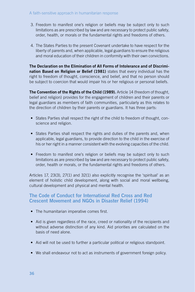- 3. Freedom to manifest one's religion or beliefs may be subject only to such limitations as are prescribed by law and are necessary to protect public safety, order, health, or morals or the fundamental rights and freedoms of others.
- 4. The States Parties to the present Covenant undertake to have respect for the liberty of parents and, when applicable, legal guardians to ensure the religious and moral education of their children in conformity with their own convictions.

The Declaration on the Elimination of All Forms of Intolerance and of Discrimination Based on Religion or Belief (1981) states that every individual has the right to freedom of thought, conscience, and belief, and that no person should be subject to coercion that would impair his or her religious or personal beliefs.

The Convention of the Rights of the Child (1989). Article 14 (freedom of thought, belief and religion) provides for the engagement of children and their parents or legal guardians as members of faith communities, particularly as this relates to the direction of children by their parents or guardians. It has three parts:

- States Parties shall respect the right of the child to freedom of thought, conscience and religion.
- States Parties shall respect the rights and duties of the parents and, when applicable, legal guardians, to provide direction to the child in the exercise of his or her right in a manner consistent with the evolving capacities of the child.
- Freedom to manifest one's religion or beliefs may be subject only to such limitations as are prescribed by law and are necessary to protect public safety, order, health or morals, or the fundamental rights and freedoms of others.

Articles 17, 23(3), 27(1) and 32(1) also explicitly recognise the 'spiritual' as an element of holistic child development, along with social and moral wellbeing, cultural development and physical and mental health.

## The Code of Conduct for International Red Cross and Red Crescent Movement and NGOs in Disaster Relief (1994)

- The humanitarian imperative comes first.
- Aid is given regardless of the race, creed or nationality of the recipients and without adverse distinction of any kind. Aid priorities are calculated on the basis of need alone.
- Aid will not be used to further a particular political or religious standpoint.
- We shall endeavour not to act as instruments of government foreign policy.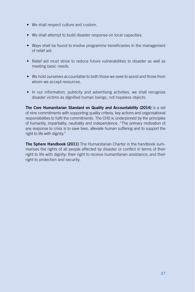- We shall respect culture and custom.
- We shall attempt to build disaster response on local capacities.
- Ways shall be found to involve programme beneficiaries in the management of relief aid.
- Relief aid must strive to reduce future vulnerabilities to disaster as well as meeting basic needs.
- We hold ourselves accountable to both those we seek to assist and those from whom we accept resources.
- In our information, publicity and advertising activities, we shall recognize disaster victims as dignified human beings, not hopeless objects.

The Core Humanitarian Standard on Quality and Accountability (2014) is a set of nine commitments with supporting quality criteria, key actions and organisational responsibilities to fulfil the commitments. The CHS is underpinned by the principles of humanity, impartiality, neutrality and independence. "The primary motivation of any response to crisis is to save lives, alleviate human suffering and to support the right to life with dignity."

The Sphere Handbook (2011) The Humanitarian Charter in the handbook summarises the rights of all people affected by disaster or conflict in terms of their right to life with dignity; their right to receive humanitarian assistance; and their right to protection and security.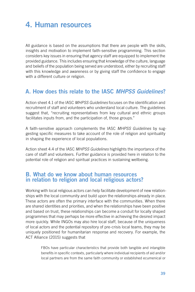# 4. Human resources

All guidance is based on the assumptions that there are people with the skills, insights and motivation to implement faith-sensitive programming. This section considers key issues in ensuring that agency staff are equipped to implement the provided guidance. This includes ensuring that knowledge of the culture, language and beliefs of the population being served are understood, either by recruiting staff with this knowledge and awareness or by giving staff the confidence to engage with a different culture or religion.

# A. How does this relate to the IASC *MHPSS Guidelines*?

Action sheet 4.1 of the IASC *MHPSS Guidelines* focuses on the identification and recruitment of staff and volunteers who understand local culture. The guidelines suggest that, "recruiting representatives from key cultural and ethnic groups facilitates inputs from, and the participation of, those groups."

A faith-sensitive approach complements the IASC *MHPSS Guidelines* by suggesting specific measures to take account of the role of religion and spirituality in shaping the experience of local populations.

Action sheet 4.4 of the IASC *MHPSS Guidelines* highlights the importance of the care of staff and volunteers. Further guidance is provided here in relation to the potential role of religion and spiritual practices in sustaining wellbeing.

## B. What do we know about human resources in relation to religion and local religious actors?

Working with local religious actors can help facilitate development of new relationships with the local community and build upon the relationships already in place. These actors are often the primary interface with the communities. When there are shared identities and priorities, and when the relationships have been positive and based on trust, these relationships can become a conduit for locally shaped programmes that may perhaps be more effective in achieving the desired impact more quickly. While INGOs may also hire local staff, because of the uniqueness of local actors and the potential repository of pre-crisis local teams, they may be uniquely positioned for humanitarian response and recovery. For example, the ACT Alliance (2015) suggests that

> FBOs have particular characteristics that provide both tangible and intangible benefits in specific contexts, particularly where individual recipients of aid and/or local partners are from the same faith community or established ecumenical or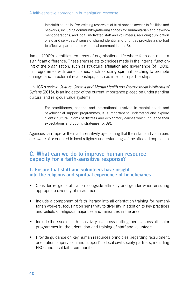interfaith councils. Pre-existing reservoirs of trust provide access to facilities and networks, including community-gathering spaces for humanitarian and development operations, and local, motivated staff and volunteers, reducing duplication of aid and services. A sense of shared identity and priorities provides a shortcut to effective partnerships with local communities (p. 3).

James (2009) identifies ten areas of organisational life where faith can make a significant difference. These areas relate to choices made in the internal functioning of the organisation, such as structural affiliation and governance (of FBOs); in programmes with beneficiaries, such as using spiritual teaching to promote change, and in external relationships, such as inter-faith partnerships.

UNHCR's review, *Culture, Context and Mental Health and Psychosocial Wellbeing of Syrians* (2015), is an indicator of the current importance placed on understanding cultural and religious value systems.

> For practitioners, national and international, involved in mental health and psychosocial support programmes, it is important to understand and explore clients' cultural idioms of distress and explanatory causes which influence their expectations and coping strategies (p. 39).

Agencies can improve their faith sensitivity by ensuring that their staff and volunteers are aware of or oriented to local religious understandings of the affected population.

## C. What can we do to improve human resource capacity for a faith-sensitive response?

## 1. Ensure that staff and volunteers have insight into the religious and spiritual experience of beneficiaries

- Consider religious affiliation alongside ethnicity and gender when ensuring appropriate diversity of recruitment
- Include a component of faith literacy into all orientation training for humanitarian workers, focusing on sensitivity to diversity in addition to key practices and beliefs of religious majorities and minorities in the area
- Include the issue of faith-sensitivity as a cross-cutting theme across all sector programmes in the orientation and training of staff and volunteers.
- Provide guidance on key human resources principles (regarding recruitment, orientation, supervision and support) to local civil society partners, including FBOs and local faith communities.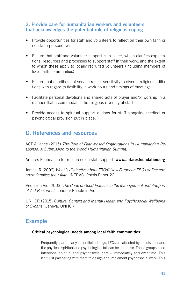## 2. Provide care for humanitarian workers and volunteers that acknowledges the potential role of religious coping

- Provide opportunities for staff and volunteers to reflect on their own faith or non-faith perspectives
- Ensure that staff and volunteer support is in place, which clarifies expectations, resources and processes to support staff in their work, and the extent to which these apply to locally recruited volunteers (including members of local faith communities)
- Ensure that conditions of service reflect sensitivity to diverse religious affiliations with regard to flexibility in work hours and timings of meetings
- Facilitate personal devotions and shared acts of prayer and/or worship in a manner that accommodates the religious diversity of staff
- Provide access to spiritual support options for staff alongside medical or psychological provision put in place.

# D. References and resources

ACT Alliance (2015) *The Role of Faith-based Organizations in Humanitarian Response: A Submission to the World Humanitarian Summit*.

Antares Foundation for resources on staff support: **www.antaresfoundation.org** 

James, R (2009) *What is distinctive about FBOs? How European FBOs define and operationalise their faith*. INTRAC. Praxis Paper 22.

People in Aid (2003) *The Code of Good Practice in the Management and Support of Aid Personnel*. London: People in Aid.

UNHCR (2015) *Culture, Context and Mental Health and Psychosocial Wellbeing of Syrians*. Geneva: UNHCR.

# Example

#### Critical psychological needs among local faith communities:

Frequently, particularly in conflict settings, LFCs are affected by the disaster and the physical, spiritual and psychological toll can be immense. These groups need intentional spiritual and psychosocial care – immediately and over time. This isn't just partnering with them to design and implement psychosocial work. This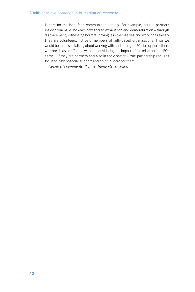#### A faith-sensitive approach in humanitarian response

is care for the local faith communities directly. For example, church partners inside Syria have *for years* now shared exhaustion and demoralization – through displacement, witnessing horrors, having less themselves and working tirelessly. They are volunteers, not paid members of faith-based organisations. Thus we would be remiss in talking about working with and through LFCs to support others who are disaster affected without considering the impact of the crisis on the LFCs as well. If they are partners and also in the disaster – true partnership requires focused psychosocial support and spiritual care for them.

*Reviewer's comments: (Former humanitarian actor)*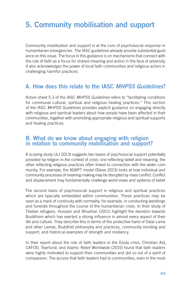# 5. Community mobilisation and support

Community mobilisation and support is at the core of psychosocial response in humanitarian emergencies. The IASC guidelines already provide substantial guidance on this issue. The focus in this guidance is on mechanisms that connect with the role of faith as a focus for shared meaning and action in the face of adversity. It also acknowledges the power of local faith communities and religious actors in challenging harmful practices.

# A. How does this relate to the IASC *MHPSS Guidelines*?

Action sheet 5.3 of the IASC *MHPSS Guidelines* refers to "facilitating conditions for communal cultural, spiritual and religious healing practices." This section of the IASC *MHPSS Guidelines* provides explicit guidance on engaging directly with religious and spiritual leaders about how people have been affected in their communities, together with promoting appropriate religious and spiritual supports and healing practices.

## B. What do we know about engaging with religion in relation to community mobilisation and support?

A scoping study (JLI 2013) suggests two bases of psychosocial support potentially provided by religion in the context of crisis: one reflecting belief and meaning, the other reflecting religious practices often linked to connection with the wider community. For example, the ADAPT model (Silove 2013) looks at how individual and community processes of meaning-making may be disrupted by mass conflict. Conflict and displacement may fundamentally challenge world views and systems of belief.

The second basis of psychosocial support is religious and spiritual practices which are typically embedded within communities. These practices may be seen as a mark of continuity with normality, for example, in conducting weddings and funerals throughout the course of the humanitarian crisis. In their study of Tibetan refugees, Hussain and Bhushan (2011) highlight the devotion towards Buddhism which has exerted a strong influence in almost every aspect of their life and culture. They describe this in terms of the protective hand of Dalai Lama and other Lamas, Buddhist philosophy and practices, community bonding and support, and historical examples of strength and resiliency.

In their report about the role of faith leaders in the Ebola crisis, Christian Aid, CAFOD, Tearfund, and Islamic Relief Worldwide (2015) found that faith leaders were highly motivated to support their communities and did so out of a spirit of compassion. The access that faith leaders had to communities, even in the most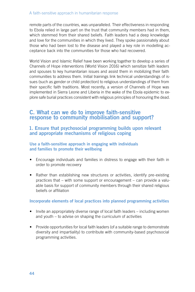remote parts of the countries, was unparalleled. Their effectiveness in responding to Ebola relied in large part on the trust that community members had in them, which stemmed from their shared beliefs. Faith leaders had a deep knowledge and love for the communities in which they lived. They spoke passionately about those who had been lost to the disease and played a key role in modelling acceptance back into the communities for those who had recovered.

World Vision and Islamic Relief have been working together to develop a series of Channels of Hope interventions (World Vision 2016) which sensitize faith leaders and spouses to key humanitarian issues and assist them in mobilizing their faith communities to address them. Initial trainings link technical understandings of issues (such as gender or child protection) to religious understandings of them from their specific faith traditions. Most recently, a version of Channels of Hope was implemented in Sierra Leone and Liberia in the wake of the Ebola epidemic to explore safe burial practices consistent with religious principles of honouring the dead.

# C. What can we do to improve faith-sensitive response to community mobilisation and support?

### 1. Ensure that psychosocial programming builds upon relevant and appropriate mechanisms of religious coping

#### Use a faith-sensitive approach in engaging with individuals and families to promote their wellbeing

- Encourage individuals and families in distress to engage with their faith in order to promote recovery
- Rather than establishing new structures or activities, identify pre-existing practices that – with some support or encouragement – can provide a valuable basis for support of community members through their shared religious beliefs or affiliation

#### Incorporate elements of local practices into planned programming activities

- Invite an appropriately diverse range of local faith leaders including women and youth – to advise on shaping the curriculum of activities
- Provide opportunities for local faith leaders (of a suitable range to demonstrate diversity and impartiality) to contribute with community-based psychosocial programming activities.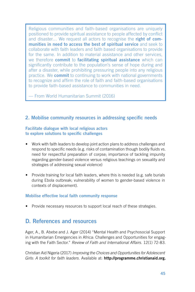Religious communities and faith-based organisations are uniquely positioned to provide spiritual assistance to people affected by conflict and disaster... We request all actors to recognise the right of communities in need to access the best of spiritual service and seek to collaborate with faith leaders and faith based organisations to provide for the same. In addition to material assistance and other services, we therefore **commit** to **facilitating spiritual assistance** which can significantly contribute to the population's sense of hope during and after a disaster, while prohibiting pressuring people into any religious practice. We commit to continuing to work with national governments to recognize and affirm the role of faith and faith-based organisations to provide faith-based assistance to communities in need.

— From World Humanitarian Summit (2016)

## 2. Mobilise community resources in addressing specific needs

#### Facilitate dialogue with local religious actors to explore solutions to specific challenges

- Work with faith leaders to develop joint action plans to address challenges and respond to specific needs (e.g. risks of contamination though bodily fluids vs. need for respectful preparation of corpse; importance of tackling impunity regarding gender-based violence versus religious teachings on sexuality and strategies of addressing sexual violence)
- Provide training for local faith leaders, where this is needed (e.g. safe burials during Ebola outbreak; vulnerability of women to gender-based violence in contexts of displacement).

#### Mobilise effective local faith community response

• Provide necessary resources to support local reach of these strategies.

# D. References and resources

Ager, A., B. Abebe and J. Ager (2014) "Mental Health and Psychosocial Support in Humanitarian Emergencies in Africa: Challenges and Opportunities for engaging with the Faith Sector." *Review of Faith and International Affairs*. 12(1) 72-83.

Christian Aid Nigeria (2017) *Improving the Choices and Opportunities for Adolescent Girls: A toolkit for faith leaders*. Available at: http://programme.christianaid.org.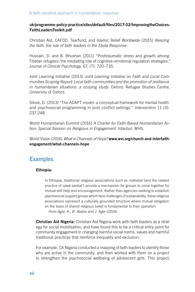#### uk/programme-policy-practice/sites/default/files/2017-02/ImprovingtheChoices-FaithLeadersToolkit.pdf

Christian Aid, CAFOD, Tearfund, and Islamic Relief Worldwide (2015) *Keeping the faith: the role of faith leaders in the Ebola Response.*

Hussain, D. and B. Bhushan (2011) "Posttraumatic stress and growth among Tibetan refugees: the mediating role of cognitive-emotional regulation strategies." *Journal of Clinical Psychology*, 67, (7): 720–735.

Joint Learning Initiative (2013) *Joint Learning Initiative on Faith and Local Communities Scoping Report: Local faith communities and the promotion of resilience in humanitarian situations: a scoping study*. Oxford: Refugee Studies Centre, University of Oxford.

Silove, D. (2013) "The ADAPT model: a conceptual framework for mental health and psychosocial programming in post conflict settings." *Intervention* 11 (3): 237-248.

World Humanitarian Summit (2016) *A Charter for Faith-Based Humanitarian Action: Special Session on Religious in Engagement*. Istanbul: WHS.

World Vision (2016) *What is Channels of Hope?* www.wvi.org/church-and-interfaithengagement/what-channels-hope

# Examples

#### Ethiopia:

In Ethiopia, traditional religious associations such as *mähebar* (and the related practice of *sewä sanbat'*) provide a mechanism for groups to come together for mutual self-help and encouragement. Rather than agencies seeking to establish psychosocial support groups which face challenges of sustainability, these religious associations represent a culturally grounded structure where mutual obligation on the basis of shared religious belief is fundamental to their operation. *From Ager, A., B. Abebe and J. Ager (2014).*

**Christian Aid Nigeria:** Christian Aid Nigeria work with faith leaders as a strategy for social mobilisation, and have found this to be a critical entry point for community engagement in changing harmful social norms, values and harmful traditional practices that reinforce inequality and exclusion.

For example, CA Nigeria conducted a mapping of faith leaders to identify those who are active in the community, and then worked with them on a project to strengthen the psychosocial wellbeing of adolescent girls. This project,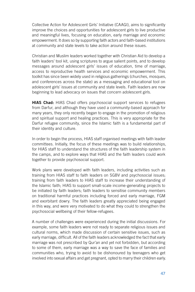Collective Action for Adolescent Girls' Initiative (CAAGI), aims to significantly improve the choices and opportunities for adolescent girls to live productive and meaningful lives, focusing on education, early marriage and economic empowerment. It does so by supporting faith actors and faith-based institutions at community and state levels to take action around these issues.

Christian and Muslim leaders worked together with Christian Aid to develop a faith leaders' tool kit, using scriptures to argue salient points, and to develop messages around adolescent girls' issues of education, time of marriage, access to reproductive health services and economic empowerment. This toolkit has since been widely used in religious gatherings (churches, mosques, and conferences across the state) as a messaging and educational tool on adolescent girls' issues at community and state levels. Faith leaders are now beginning to lead advocacy on issues that concern adolescent girls.

**HIAS Chad:** HIAS Chad offers psychosocial support services to refugees from Darfur, and although they have used a community-based approach for many years, they only recently began to engage in the promotion of religious and spiritual support and healing practices. This is very appropriate for the Darfur refugee community, since the Islamic faith is a fundamental part of their identity and culture.

In order to begin the process, HIAS staff organised meetings with faith leader committees. Initially, the focus of these meetings was to build relationships, for HIAS staff to understand the structures of the faith leadership system in the camps, and to explore ways that HIAS and the faith leaders could work together to provide psychosocial support.

Work plans were developed with faith leaders, including activities such as training from HIAS staff to faith leaders on SGBV and psychosocial issues; training from faith leaders to HIAS staff to increase their understanding of the Islamic faith; HIAS to support small-scale income-generating projects to be initiated by faith leaders; faith leaders to sensitise community members on traditional harmful practices including forced and early marriage, FGM and exorbitant dowry. The faith leaders greatly appreciated being engaged in this way, and were very motivated to do what they could to strengthen the psychosocial wellbeing of their fellow-refugees.

A number of challenges were experienced during the initial discussions. For example, some faith leaders were not ready to separate religious issues and cultural norms, which made discussion of certain sensitive issues, such as early marriage, difficult. All of the faith leaders acknowledged the fact that early marriage was not prescribed by Qur'an and yet not forbidden, but according to some of them, early marriage was a way to save the face of families and communities who, trying to avoid to be dishonoured by teenagers who get involved into sexual affairs and get pregnant, opted to marry their children early.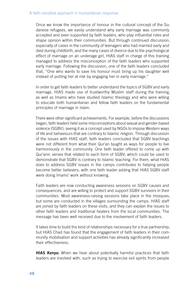#### A faith-sensitive approach in humanitarian response

Once we know the importance of honour in the cultural concept of the Sudanese refugees, we easily understand why early marriage was commonly accepted and even supported by faith leaders, who play influential roles and shape opinion within their communities. But through continued discussion, especially of cases in the community of teenagers who had married early and died during childbirth, and the many cases of divorce due to the psychological effect of marriage on an underage girl, HIAS staff in charge of this training managed to address the misconception of the faith leaders who supported early marriage. Following the discussion, one of the faith leaders concluded that, "One who wants to save his honour must bring up his daughter well instead of putting her at risk by engaging her in early marriage*."*

In order to get faith leaders to better understand the topics of SGBV and early marriage, HIAS made use of trustworthy Muslim staff during the training, as well as Imams who have studied Islamic theology and who were willing to educate both humanitarian and fellow faith leaders on the fundamental principles of marriage in Islam.

There were other significant achievements. For example, before the discussions began, faith leaders held some misconceptions about sexual and gender-based violence (SGBV), seeing it as a concept used by NGOs to impose Western ways of life and behaviours that are contrary to Islamic religion. Through discussion of the issues with HIAS staff, faith leaders concluded that SGBV teachings were not different from what their Qur'an taught as ways for people to live harmoniously in the community. One faith leader offered to come up with Qur'anic verses that related to each form of SGBV, which could be used to demonstrate that SGBV is contrary to Islamic teaching. For them, what HIAS does to address SGBV issues in the camps contributes to helping people become better believers, with one faith leader adding that HIAS SGBV staff were doing Imams' work without knowing.

Faith leaders are now conducting awareness sessions on SGBV causes and consequences, and are willing to protect and support SGBV survivors in their communities. Most awareness-raising sessions take place in the mosques, but some are conducted in the villages surrounding the camps. HIAS staff are joined by faith leaders on these visits, and they can explain the issues to other faith leaders and traditional healers from the local communities. The message has been well received due to the involvement of faith leaders.

It takes time to build the kind of relationships necessary for a true partnership, but HIAS Chad has found that the engagement of faith leaders in their community mobilisation and support activities has already significantly increased their effectiveness.

**HIAS Kenya:** When we hear about potentially harmful practices that faith leaders are involved with, such as trying to exorcise evil spirits from people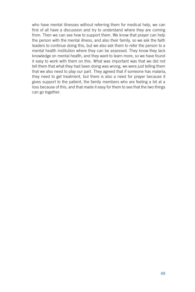who have mental illnesses without referring them for medical help, we can first of all have a discussion and try to understand where they are coming from. Then we can see how to support them. We know that prayer can help the person with the mental illness, and also their family, so we ask the faith leaders to continue doing this, but we also ask them to refer the person to a mental health institution where they can be assessed. They know they lack knowledge on mental health, and they want to learn more, so we have found it easy to work with them on this. What was important was that we did not tell them that what they had been doing was wrong, we were just telling them that we also need to play our part. They agreed that if someone has malaria, they need to get treatment, but there is also a need for prayer because it gives support to the patient, the family members who are feeling a bit at a loss because of this, and that made it easy for them to see that the two things can go together.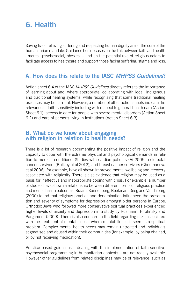# 6. Health

Saving lives, relieving suffering and respecting human dignity are at the core of the humanitarian mandate. Guidance here focuses on the link between faith and health – mental, psychosocial, physical – and on the potential role of religious actors to facilitate access to healthcare and support those facing suffering, stigma and loss.

# A. How does this relate to the IASC *MHPSS Guidelines*?

Action sheet 6.4 of the IASC *MHPSS Guidelines* directly refers to the importance of learning about and, where appropriate, collaborating with local, indigenous and traditional healing systems, while recognising that some traditional healing practices may be harmful. However, a number of other action sheets indicate the relevance of faith-sensitivity including with respect to general health care (Action Sheet 6.1), access to care for people with severe mental disorders (Action Sheet 6.2) and care of persons living in institutions (Action Sheet 6.3)

## B. What do we know about engaging with religion in relation to health needs?

There is a lot of research documenting the positive impact of religion and the capacity to cope with the extreme physical and psychological demands in relation to medical conditions. Studies with cardiac patients (Ai 2005), colorectal cancer survivors (Bulkley et al 2012), and breast cancer survivors (Choumanova et al 2006), for example, have all shown improved mental wellbeing and recovery associated with religiosity. There is also evidence that religion may be used as a basis for ineffective and inappropriate coping with crisis. For example, a number of studies have shown a relationship between different forms of religious practice and mental health outcomes. Braam, Sonnenberg, Beekman, Deeg and Van Tilburg (2000) found that religious practice and denomination influenced the presentation and severity of symptoms for depression amongst older persons in Europe. Orthodox Jews who followed more conservative spiritual practices experienced higher levels of anxiety and depression in a study by Rosmarin, Pirutinsky and Pargament (2009). There is also concern in the field regarding risks associated with the treatment of mental illness, where mental illness is seen as a spiritual problem. Complex mental health needs may remain untreated and individuals stigmatised and abused within their communities (for example, by being chained, or by not receiving medication).

Practice-based guidelines – dealing with the implementation of faith-sensitive psychosocial programming in humanitarian contexts – are not readily available. However other guidelines from related disciplines may be of relevance, such as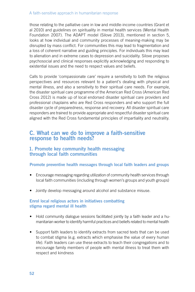#### A faith-sensitive approach in humanitarian response

those relating to the palliative care in low and middle-income countries (Grant et al 2010) and guidelines on spirituality in mental health services (Mental Health Foundation 2007). The ADAPT model (Silove 2013), mentioned in section 5, looks at how individual and community processes of meaning-making may be disrupted by mass conflict. For communities this may lead to fragmentation and a loss of coherent narrative and guiding principles. For individuals this may lead to alienation and in extreme cases to depression and suicidality. Silove proposes psychosocial and clinical responses explicitly acknowledging and responding to existential issues and the need to respect values and beliefs.

Calls to provide 'compassionate care' require a sensitivity to both the religious perspectives and resources relevant to a patient's dealing with physical and mental illness, and also a sensitivity to their spiritual care needs. For example, the disaster spiritual care programme of the American Red Cross (American Red Cross 2012) is made up of local endorsed disaster spiritual care providers and professional chaplains who are Red Cross responders and who support the full disaster cycle of preparedness, response and recovery. All disaster spiritual care responders are trained to provide appropriate and respectful disaster spiritual care aligned with the Red Cross fundamental principles of impartiality and neutrality.

## C. What can we do to improve a faith-sensitive response to health needs?

#### 1. Promote key community health messaging through local faith communities

#### Promote preventive health messages through local faith leaders and groups

- Encourage messaging regarding utilization of community health services through local faith communities (including through women's groups and youth groups)
- Jointly develop messaging around alcohol and substance misuse.

#### Enrol local religious actors in initiatives combatting stigma regard mental ill health

- Hold community dialogue sessions facilitated jointly by a faith leader and a humanitarian worker to identify harmful practices and beliefs related to mental health
- Support faith leaders to identify extracts from sacred texts that can be used to combat stigma (e.g. extracts which emphasise the value of every human life). Faith leaders can use these extracts to teach their congregations and to encourage family members of people with mental illness to treat them with respect and kindness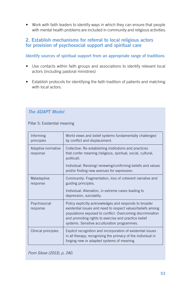• Work with faith leaders to identify ways in which they can ensure that people with mental health problems are included in community and religious activities.

### 2. Establish mechanisms for referral to local religious actors for provision of psychosocial support and spiritual care

Identify sources of spiritual support from an appropriate range of traditions

- Use contacts within faith groups and associations to identify relevant local actors (including pastoral ministries)
- Establish protocols for identifying the faith tradition of patients and matching with local actors.

## *The ADAPT Model*

Pillar 5: Existential meaning

| Informing<br>principles        | World views and belief systems fundamentally challenged<br>by conflict and displacement.                                                                                                                                                                                                    |
|--------------------------------|---------------------------------------------------------------------------------------------------------------------------------------------------------------------------------------------------------------------------------------------------------------------------------------------|
| Adaptive normative<br>response | Collective: Re-establishing institutions and practices<br>that confer meaning (religious, spiritual, social, cultural,<br>political).                                                                                                                                                       |
|                                | Individual: Revising/renewing/confirming beliefs and values<br>and/or finding new avenues for expression.                                                                                                                                                                                   |
| Maladaptive<br>response        | Community: Fragmentation, loss of coherent narrative and<br>guiding principles.                                                                                                                                                                                                             |
|                                | Individual: Alienation, in extreme cases leading to<br>depression, suicidality.                                                                                                                                                                                                             |
| Psychosocial<br>response       | Policy explicitly acknowledges and responds to broader<br>existential issues and need to respect values/beliefs among<br>populations exposed to conflict. Overcoming discrimination<br>and promoting rights to exercise and practice belief<br>systems. Sensitive acculturation programmes. |
| Clinical principles            | Explicit recognition and incorporation of existential issues<br>in all therapy, recognising the primacy of the individual in<br>forging new or adapted systems of meaning                                                                                                                   |

*From Silove (2013), p. 240.*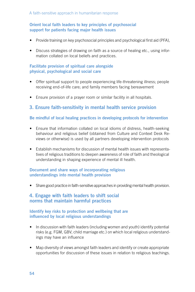#### Orient local faith leaders to key principles of psychosocial support for patients facing major health issues

- Provide training on key psychosocial principles and psychological first aid (PFA),
- Discuss strategies of drawing on faith as a source of healing etc., using information collated on local beliefs and practices.

#### Facilitate provision of spiritual care alongside physical, psychological and social care

- Offer spiritual support to people experiencing life-threatening illness; people receiving end-of-life care; and family members facing bereavement
- Ensure provision of a prayer room or similar facility in all hospitals.

#### 3. Ensure faith-sensitivity in mental health service provision

#### Be mindful of local healing practices in developing protocols for intervention

- Ensure that information collated on local idioms of distress, health-seeking behaviour and religious belief (obtained from Culture and Context Desk Reviews or otherwise) is used by all partners developing intervention protocols
- Establish mechanisms for discussion of mental health issues with representatives of religious traditions to deepen awareness of role of faith and theological understanding in shaping experience of mental ill health.

#### Document and share ways of incorporating religious understandings into mental health provision

• Share good practice in faith-sensitive approaches in providing mental health provision.

#### 4. Engage with faith leaders to shift social norms that maintain harmful practices

#### Identify key risks to protection and wellbeing that are influenced by local religious understandings

- In discussion with faith leaders (including women and youth) identify potential risks (e.g. FGM, GBV, child marriage etc.) on which local religious understandings may have an influence
- Map diversity of views amongst faith leaders and identify or create appropriate opportunities for discussion of these issues in relation to religious teachings.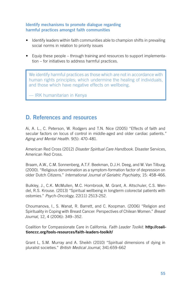#### Identify mechanisms to promote dialogue regarding harmful practices amongst faith communities

- Identify leaders within faith communities able to champion shifts in prevailing social norms in relation to priority issues
- Equip these people through training and resources to support implementation – for initiatives to address harmful practices.

We identify harmful practices as those which are not in accordance with human rights principles; which undermine the healing of individuals, and those which have negative effects on wellbeing.

— IRK humanitarian in Kenya

# D. References and resources

Ai, A. L., C. Peterson, W. Rodgers and T.N. Nice (2005) "Effects of faith and secular factors on locus of control in middle-aged and older cardiac patients*." Aging and Mental Health*. 9(5): 470-481.

American Red Cross (2012) *Disaster Spiritual Care Handbook*. Disaster Services, American Red Cross.

Braam, A.W., C.M. Sonnenberg, A.T.F. Beekman, D.J.H. Deeg, and W. Van Tilburg. (2000). "Religious denomination as a symptom-formation factor of depression on older Dutch Citizens." *International Journal of Geriatric Psychiatry*, 15: 458-466.

Bulkley, J., C.K. McMullen, M.C. Hornbrook, M. Grant, A. Altschuler, C.S. Wendel, R.S. Krouse. (2013) "Spiritual wellbeing in longterm colorectal patients with ostomies." *Psych-Oncology*, 22(11) 2513-252.

Choumanova, I., S. Wanat, R. Barrett, and C. Koopman. (2006) "Religion and Spirituality in Coping with Breast Cancer: Perspectives of Chilean Women." *Breast Journal*, 12, 4 (2006): 349–352.

Coalition for Compassionate Care in California. *Faith Leader Toolkit*. http://coalitionccc.org/tools-resources/faith-leaders-toolkit/

Grant L, S.M. Murray and A. Sheikh (2010) "Spiritual dimensions of dying in pluralist societies." *British Medical Journal*, 341:659-662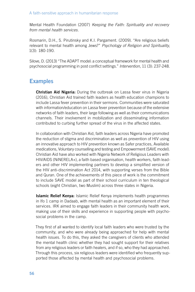Mental Health Foundation (2007) *Keeping the Faith: Spirituality and recovery from mental health services*.

Rosmarin, D.H., S. Pirutinsky and K.I. Pargament. (2009). "Are religious beliefs relevant to mental health among Jews?" *Psychology of Religion and Spirituality*, 1(3): 180-190.

Silove, D. (2013) "The ADAPT model: a conceptual framework for mental health and psychosocial programming in post conflict settings." *Intervention*, 11 (3): 237-248.

# **Examples**

**Christian Aid Nigeria:** During the outbreak on Lassa fever virus in Nigeria (2016), Christian Aid trained faith leaders as health education champions to include Lassa fever prevention in their sermons. Communities were saturated with information/education on Lassa fever prevention because of the extensive networks of faith leaders, their large following as well as their communications channels. Their involvement in mobilization and disseminating information contributed to curbing further spread of the virus in the affected states.

In collaboration with Christian Aid, faith leaders across Nigeria have promoted the reduction of stigma and discrimination as well as prevention of HIV using an innovative approach to HIV prevention known as Safer practices, Available medications, Voluntary counselling and testing and Empowerment (SAVE model). Christian Aid have also worked with Nigeria Network of Religious Leaders with HIV/AIDS (NiNERELA+), a faith based organisation, health workers, faith leaders and other HIV implementing partners to develop a simplified version of the HIV anti-discrimination Act 2014, with supporting verses from the Bible and Quran. One of the achievements of this piece of work is the commitment to include SAVE model as part of their school curriculum in ten theological schools (eight Christian, two Muslim) across three states in Nigeria.

Islamic Relief Kenya: Islamic Relief Kenya implements health programmes in Ifo 1 camp in Dadaab, with mental health as an important element of their services. IRK aimed to engage faith leaders in their community health work, making use of their skills and experience in supporting people with psychosocial problems in the camp.

They first of all wanted to identify local faith leaders who were trusted by the community, and who were already being approached for help with mental health issues. To do this, they asked the caregivers of clients who attended the mental health clinic whether they had sought support for their relatives from any religious leaders or faith healers, and if so, who they had approached. Through this process, six religious leaders were identified who frequently supported those affected by mental health and psychosocial problems.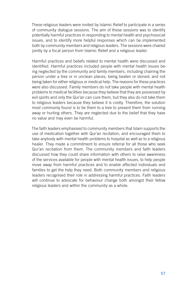These religious leaders were invited by Islamic Relief to participate in a series of community dialogue sessions. The aim of these sessions was to identify potentially harmful practices in responding to mental health and psychosocial issues, and to identify more helpful responses which can be implemented both by community members and religious leaders. The sessions were chaired jointly by a focal person from Islamic Relief and a religious leader.

Harmful practices and beliefs related to mental health were discussed and identified. Harmful practices included people with mental health issues being neglected by the community and family members, including chaining the person under a tree or in unclean places; being beaten or stoned; and not being taken for either religious or medical help. The reasons for these practices were also discussed. Family members do not take people with mental health problems to medical facilities because they believe that they are possessed by evil spirits and only the Qur'an can cure them, but they also do not take them to religious leaders because they believe it is costly. Therefore, the solution most commonly found is to tie them to a tree to prevent them from running away or hurting others. They are neglected due to the belief that they have no value and may even be harmful.

The faith leaders emphasised to community members that Islam supports the use of medication together with Qur'an recitation, and encouraged them to take anybody with mental health problems to hospital as well as to a religious healer. They made a commitment to ensure referral for all those who seek Qur'an recitation from them. The community members and faith leaders discussed how they could share information with others to raise awareness of the services available for people with mental health issues, to help people move away from harmful practices and to enable affected individuals and families to get the help they need. Both community members and religious leaders recognised their role in addressing harmful practices. Faith leaders will continue to advocate for behaviour change both amongst their fellow religious leaders and within the community as a whole.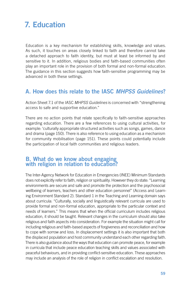# 7. Education

Education is a key mechanism for establishing skills, knowledge and values. As such, it touches on areas closely linked to faith and therefore cannot take a detached approach to faith identity, but must at least be informed by and sensitive to it. In addition, religious bodies and faith-based communities often play an important role in the provision of both formal and non-formal education. The guidance in this section suggests how faith-sensitive programming may be advanced in both these settings.

# A. How does this relate to the IASC *MHPSS Guidelines*?

Action Sheet 7.1 of the IASC *MHPSS Guidelines* is concerned with "strengthening access to safe and supportive education."

There are no action points that relate specifically to faith-sensitive approaches regarding education. There are a few references to using cultural activities, for example: 'culturally appropriate structured activities such as songs, games, dance and drama (page 150). There is also reference to using education as a mechanism for community mobilisation (page 151). These points could potentially include the participation of local faith communities and religious leaders.

## B. What do we know about engaging with religion in relation to education?

The Inter-Agency Network for Education in Emergencies (INEE) Minimum Standards does not explicitly refer to faith, religion or spirituality. However they do state: "Learning environments are secure and safe and promote the protection and the psychosocial wellbeing of learners, teachers and other education personnel" (Access and Learning Environment Standard 2). Standard 1 in the Teaching and Learning domain says about curricula: "Culturally, socially and linguistically relevant curricula are used to provide formal and non-formal education, appropriate to the particular context and needs of learners." This means that when the official curriculum includes religious education, it should be taught. Relevant changes in the curriculum should also take religious and faith aspects into consideration. For example the situation might call for including religious and faith-based aspects of forgiveness and reconciliation and how to cope with sorrow and loss. In displacement settings it is also important that both the displaced population and host community understand each other regarding faith. There is also guidance about the ways that education can promote peace, for example in curricula that include peace education teaching skills and values associated with peaceful behaviours, and in providing conflict-sensitive education. These approaches may include an analysis of the role of religion in conflict escalation and resolution.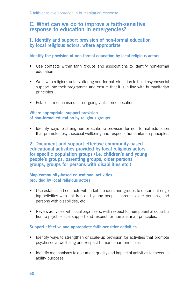## C. What can we do to improve a faith-sensitive response to education in emergencies?

#### 1. Identify and support provision of non-formal education by local religious actors, where appropriate

Identify the provision of non-formal education by local religious actors

- Use contacts within faith groups and associations to identify non-formal education
- Work with religious actors offering non-formal education to build psychosocial support into their programme and ensure that it is in line with humanitarian principles
- Establish mechanisms for on-going visitation of locations.

#### Where appropriate, support provision of non-formal education by religious groups

• Identify ways to strengthen or scale-up provision for non-formal education that promotes psychosocial wellbeing and respects humanitarian principles.

2. Document and support effective community-based educational activities provided by local religious actors for specific population groups (i.e. children's and young people's groups, parenting groups, older persons' groups, groups for persons with disabilities etc.)

#### Map community-based educational activities provided by local religious actors

- Use established contacts within faith leaders and groups to document ongoing activities with children and young people, parents, older persons, and persons with disabilities, etc.
- Review activities with local organisers, with respect to their potential contribution to psychosocial support and respect for humanitarian principles.

#### Support effective and appropriate faith-sensitive activities

- Identify ways to strengthen or scale-up provision for activities that promote psychosocial wellbeing and respect humanitarian principles
- Identify mechanisms to document quality and impact of activities for accountability purposes.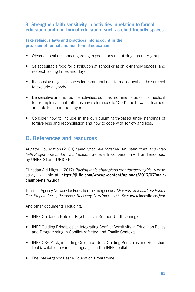## 3. Strengthen faith-sensitivity in activities in relation to formal education and non-formal education, such as child-friendly spaces

#### Take religious laws and practices into account in the provision of formal and non-formal education

- Observe local customs regarding expectations about single-gender groups
- Select suitable food for distribution at school or at child-friendly spaces, and respect fasting times and days
- If choosing religious spaces for communal non-formal education, be sure not to exclude anybody
- Be sensitive around routine activities, such as morning parades in schools, if for example national anthems have references to "God" and how/if all learners are able to join in the prayers.
- Consider how to include in the curriculum faith-based understandings of forgiveness and reconciliation and how to cope with sorrow and loss.

# D. References and resources

Arigatou Foundation (2008) *Learning to Live Together. An Intercultural and Interfaith Programme for Ethics Education*. Geneva: In cooperation with and endorsed by UNESCO and UNICEF.

Christian Aid Nigeria (2017) *Raising male champions for adolescent girls*. A case study available at: https://jliflc.com/wp/wp-content/uploads/2017/07/malechampions\_v2.pdf

The Inter-Agency Network for Education in Emergencies. *Minimum Standards for Education. Preparedness, Response, Recovery*. New York: INEE. See: www.ineesite.org/en/

And other documents including:

- INEE Guidance Note on Psychosocial Support (forthcoming).
- INEE Guiding Principles on Integrating Conflict Sensitivity in Education Policy and Programming in Conflict-Affected and Fragile Contexts
- INEE CSE Pack, including Guidance Note, Guiding Principles and Reflection Tool (available in various languages in the INEE Toolkit)
- The Inter-Agency Peace Education Programme.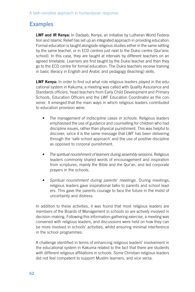# Examples

LWF and IR Kenya: In Dadaab, Kenya, an initiative by Lutheran World Federation and Islamic Relief has set up an integrated approach in providing education. Formal education is taught alongside religious studies either in the same setting by the same teacher, or in ECD centres just next to the Duksi centre (Qur'anic school). In this case, they are taught at intervals by different teachers on an agreed timetable. Learners are first taught by the Duksi teacher and then they go to the ECD centre for formal education. The Duksi teachers receive training in basic literacy in English and Arabic and pedagogy (teaching) skills.

LWF Kenya: In order to find out what role religious leaders played in the educational system in Kakuma, a meeting was called with Quality Assurance and Standards officers, head teachers from Early Child Development and Primary Schools, Education Officers and the LWF Education Coordinator as the convener. It emerged that the main ways in which religious leaders contributed to education provision were:

- *• The management of indiscipline cases in schools.* Religious leaders emphasised the use of guidance and counselling for children who had discipline issues, rather than physical punishment. This was helpful to discover, since it is the same message that LWF has been delivering through the 'safe school approach' and the use of positive discipline as opposed to corporal punishment.
- *• The spiritual nourishment of learners during assembly sessions.* Religious leaders commonly shared words of encouragement and inspiration from scriptures, mainly the Bible and the Qur'an, and led corporate prayers in the schools.
- *• Spiritual nourishment during parents' meetings*. During meetings, religious leaders gave inspirational talks to parents and school leaders. This gave the parents courage to face the future in the midst of uncertainty and distress.

In addition to these activities, it was found that most religious leaders are members of the Boards of Management in schools so are actively involved in decision-making. Following this information-gathering exercise, a meeting was convened with religious leaders, and discussions were held on how they can be more involved in schools' activities, whilst ensuring minimal interference in the school programmes.

A challenge identified in terms of enhancing religious leaders' involvement in the educational system in Kakuma related to the fact that there are students with different religious affiliations in schools. Some Christian religious leaders did not feel competent to support Muslim learners, and vice versa.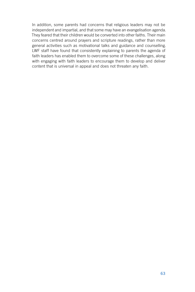In addition, some parents had concerns that religious leaders may not be independent and impartial, and that some may have an evangelisation agenda. They feared that their children would be converted into other faiths. Their main concerns centred around prayers and scripture readings, rather than more general activities such as motivational talks and guidance and counselling. LWF staff have found that consistently explaining to parents the agenda of faith leaders has enabled them to overcome some of these challenges, along with engaging with faith leaders to encourage them to develop and deliver content that is universal in appeal and does not threaten any faith.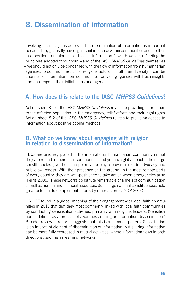# 8. Dissemination of information

Involving local religious actors in the dissemination of information is important because they generally have significant influence within communities and are thus in a position to reinforce – or block – information flows. However, reflecting the principles adopted throughout – and of the IASC *MHPSS Guidelines* themselves – we should not only be concerned with the flow of information from humanitarian agencies to communities. Local religious actors – in all their diversity – can be channels of information from communities, providing agencies with fresh insights and challenge to their initial plans and agendas.

# A. How does this relate to the IASC *MHPSS Guidelines*?

Action sheet 8.1 of the IASC *MHPSS Guidelines* relates to providing information to the affected population on the emergency, relief efforts and their legal rights. Action sheet 8.2 of the IASC *MHPSS Guidelines* relates to providing access to information about positive coping methods.

## B. What do we know about engaging with religion in relation to dissemination of information?

FBOs are uniquely placed in the international humanitarian community in that they are rooted in their local communities and yet have global reach. Their large constituencies give them the potential to play a powerful role in advocacy and public awareness. With their presence on the ground, in the most remote parts of every country, they are well-positioned to take action when emergencies arise (Ferris 2005). These networks constitute remarkable channels of communication as well as human and financial resources. Such large national constituencies hold great potential to complement efforts by other actors (UNDP 2014).

UNICEF found in a global mapping of their engagement with local faith communities in 2015 that that they most commonly linked with local faith communities by conducting sensitisation activities, primarily with religious leaders. (Sensitisation is defined as a process of awareness raising or information dissemination.) Broader review of reports suggests that this is a common pattern. Sensitisation is an important element of dissemination of information, but sharing information can be more fully expressed in mutual activities, where information flows in both directions, such as in learning networks.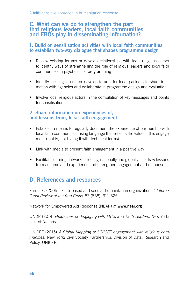## C. What can we do to strengthen the part that religious leaders, local faith communities and FBOs play in disseminating information?

## 1. Build on sensitisation activities with local faith communities to establish two-way dialogue that shapes programme design

- Review existing forums or develop relationships with local religious actors to identify ways of strengthening the role of religious leaders and local faith communities in psychosocial programming
- Identify existing forums or develop forums for local partners to share information with agencies and collaborate in programme design and evaluation
- Involve local religious actors in the compilation of key messages and points for sensitisation.

## 2. Share information on experiences of, and lessons from, local faith engagement

- Establish a means to regularly document the experience of partnership with local faith communities, using language that reflects the value of this engagement (that is, not hiding it with technical terms)
- Link with media to present faith engagement in a positive way
- Facilitate learning networks locally, nationally and globally to draw lessons from accumulated experience and strengthen engagement and response.

# D. References and resources

Ferris, E. (2005) "Faith-based and secular humanitarian organizations." *International Review of the Red Cross*, 87 (858): 311-325.

Network for Empowered Aid Response (NEAR) at www.near.org

UNDP (2014) *Guidelines on Engaging with FBOs and Faith Leaders*. New York: United Nations.

UNICEF (2015) *A Global Mapping of UNICEF engagement with religious communities*. New York: Civil Society Partnerships Division of Data, Research and Policy, UNICEF.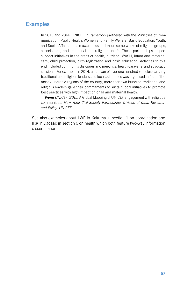# Examples

In 2013 and 2014, UNICEF in Cameroon partnered with the Ministries of Communication, Public Health, Women and Family Welfare, Basic Education, Youth, and Social Affairs to raise awareness and mobilise networks of religious groups, associations, and traditional and religious chiefs. These partnerships helped support initiatives in the areas of health, nutrition, WASH, infant and maternal care, child protection, birth registration and basic education. Activities to this end included community dialogues and meetings, health caravans, and advocacy sessions. For example, in 2014, a caravan of over one hundred vehicles carrying traditional and religious leaders and local authorities was organised in four of the most vulnerable regions of the country; more than two hundred traditional and religious leaders gave their commitments to sustain local initiatives to promote best practices with high impact on child and maternal health.

*From: UNICEF (2015)* A Global Mapping of UNICEF engagement with religious communities*. New York: Civil Society Partnerships Division of Data, Research and Policy, UNICEF.*

See also examples about LWF in Kakuma in section 1 on coordination and IRK in Dadaab in section 6 on health which both feature two-way information dissemination.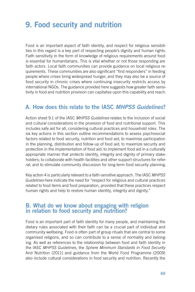# 9. Food security and nutrition

Food is an important aspect of faith identity, and respect for religious sensibilities in this regard is a key part of respecting people's dignity and human rights. Faith sensitivity in the form of knowledge of religious requirements around food is essential for humanitarians. This is vital whether or not those responding are faith actors. Local faith communities can provide guidance on local religious requirements. These communities are also significant "first responders" in feeding people where crises bring widespread hunger, and they may also be a source of food security in chronic crises where continuing insecurity restricts access by international NGOs. The guidance provided here suggests how greater faith sensitivity in food and nutrition provision can capitalise upon this capability and reach.

# A. How does this relate to the IASC *MHPSS Guidelines*?

Action sheet 9.1 of the IASC *MHPSS Guidelines* relates to the inclusion of social and cultural considerations in the provision of food and nutritional support. This includes safe aid for all, considering cultural practices and household roles. The six key actions in this section outline recommendations to assess psychosocial factors related to food security, nutrition and food aid; to maximise participation in the planning, distribution and follow-up of food aid; to maximize security and protection in the implementation of food aid; to implement food aid in a culturally appropriate manner that protects identity, integrity and dignity of primary stakeholders; to collaborate with health facilities and other support structures for referral; and to stimulate community discussion for long-term food security planning.

Key action 4 is particularly relevant to a faith-sensitive approach. The IASC *MHPSS Guidelines* here indicate the need for "respect for religious and cultural practices related to food items and food preparation, provided that these practices respect human rights and help to restore human identity, integrity and dignity."

## B. What do we know about engaging with religion in relation to food security and nutrition?

Food is an important part of faith identity for many people, and maintaining the dietary rules associated with their faith can be a crucial part of individual and community wellbeing. Food is often part of group rituals that are central to some organised religions, and so can contribute to a sense of normality and belonging. As well as references to the relationship between food and faith identity in the IASC *MHPSS Guidelines*, the *Sphere Minimum Standards In Food Security*  And Nutrition (2011) and guidance from the World Food Programme (2009) also include cultural considerations in food security and nutrition. Recently the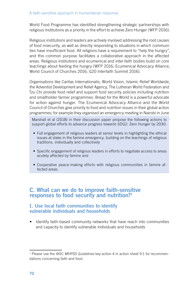World Food Programme has identified strengthening strategic partnerships with religious institutions as a priority in the effort to achieve Zero Hunger (WFP 2016).

Religious institutions and leaders are actively involved addressing the root causes of food insecurity, as well as directly responding to situations in which communities have insufficient food. All religions have a requirement to "help the hungry", and this common purpose facilitates a collaborative approach in the affected areas. Religious institutions and ecumenical and inter-faith bodies build on core teachings about feeding the hungry (WFP 2016; Ecumenical Advocacy Alliance, World Council of Churches 2016; G20 Interfaith Summit 2016).

Organisations like Caritas Internationalis, World Vision, Islamic Relief Worldwide, the Adventist Development and Relief Agency, The Lutheran World Federation and Tzu Chi provide food relief and support food security policies including nutrition and smallholder farmer programmes. Bread for the World is a powerful advocate for action against hunger. The Ecumenical Advocacy Alliance and the World Council of Churches give priority to food and nutrition issues in their global action programmes; for example they organised an emergency meeting in Nairobi in June

Marshall et al (2018) in their discussion paper propose the following actions to support global efforts to advance progress towards SDG2: Zero Hunger by 2030:

- Full engagement of religious leaders at senior levels in highlighting the ethical issues at stake in the famine emergency, building on the teachings of religious traditions, individually and collectively
- Specific engagement of religious leaders in efforts to negotiate access to areas acutely affected by famine and
- Cooperative peace-making efforts with religious communities in famine affected areas.

## C. What can we do to improve faith-sensitive responses to food security and nutrition?1

#### 1. Use local faith communities to identify vulnerable individuals and households

• Identify faith-based community networks that have reach into communities and capacity to identify vulnerable individuals and households

<sup>&</sup>lt;sup>1</sup> Please use the IASC *MHPSS Guidelines* key action 4 in action sheet 9.1 for recommendations concerning faith and food.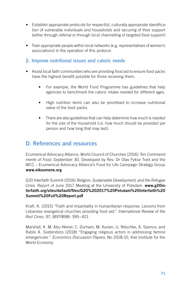- Establish appropriate protocols for respectful, culturally appropriate identification of vulnerable individuals and households and securing of their support (either through referral or through local channelling of targeted food support)
- Train appropriate people within local networks (e.g. representatives of women's associations) in the operation of this protocol.

### 2. Improve nutritional issues and caloric needs

- Assist local faith communities who are providing food aid to ensure food packs have the highest benefit possible for those receiving them:
	- For example, the World Food Programme has guidelines that help agencies to benchmark the caloric intake needed for different ages.
	- High nutrition items can also be prioritised to increase nutritional value of the food packs.
	- There are also guidelines that can help determine how much is needed for the size of the household (i.e. how much should be provided per person and how long that may last).

# D. References and resources

Ecumenical Advocacy Alliance, World Council of Churches (2016) *Ten Commandments of Food.* September 30. Developed by Rev. Dr Olav Fykse Tveit and the WCC – Ecumenical Advocacy Alliance's Food for Life Campaign Strategy Group. www.oikoumene.org

G20 Interfaith Summit (2016) *Religion, Sustainable Development, and the Refugee Crisis*. Report of June 2017 Meeting at the University of Potsdam. www.g20interfaith.org/sites/default/files/G20%202017%20Potsdam%20Interfaith%20 Summit%20Full%20Report.pdf

Kraft, K. (2015) "Faith and impartiality in humanitarian response: Lessons from Lebanese evangelical churches providing food aid." *International Review of the Red Cross*, 97, (897/898): 395–421.

Marshall, K. M. Abu-Nimer, C. Durham, M. Kurian, U. Nitschke, A. Spence, and Rabbi A. Soetendorp (2018) "Engaging religious actors in addressing famine emergencies." *Economics Discussion Papers*, No 2018-10, Kiel Institute for the World Economy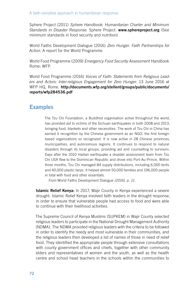Sphere Project (2011) *Sphere Handbook: Humanitarian Charter and Minimum Standards in Disaster Response.* Sphere Project. www.sphereproject.org (See minimum standards in food security and nutrition)

World Faiths Development Dialogue (2016) *Zero Hunger. Faith Partnerships for Action*. A report for the World Programme.

World Food Programme (2009) *Emergency Food Security Assessment Handbook*. Rome: WFP.

World Food Programme (2016) *Voices of Faith: Statements from Religious Leaders and Actors: Inter-religious Engagement for Zero Hunger*. 13 June 2016 at WFP HQ, Rome. http://documents.wfp.org/stellent/groups/public/documents/ reports/wfp284536.pdf

## Examples

The Tzu Chi Foundation, a Buddhist organisation active throughout the world, has provided aid to victims of the Sichuan earthquakes in both 2008 and 2013, bringing food, blankets and other necessities. The work of Tzu Chi in China has earned it recognition by the Chinese government as an NGO, the first foreignbased organizations so recognized. It is now active in 28 Chinese provinces, municipalities, and autonomous regions. It continues to respond to natural disasters through its local groups, providing aid and counselling to survivors. Days after the 2010 Haitian earthquake a disaster assessment team from Tzu Chi USA flew to the Dominican Republic and drove into Port-Au-Prince. Within three months, Tzu Chi managed 84 supply distributions, including 6,000 tents and 40,000 plastic tarps. It helped almost 50,000 families and 196,000 people in total with food and other essentials.

*From* World Faiths Development Dialogue *(2016), p. 11.*

**Islamic Relief Kenya:** In 2017, Wajir County in Kenya experienced a severe drought. Islamic Relief Kenya involved faith leaders in the drought response, in order to ensure that vulnerable people had access to food and were able to continue with their livelihood activities.

The Supreme Council of Kenya Muslims (SUPKEM) in Wajir County selected religious leaders to participate in the National Drought Management Authority (NDMA). The NDMA provided religious leaders with the criteria to be followed in order to identify the needy and most vulnerable in their communities, and the religious leaders then developed a list of names of those in need of relief food. They identified the appropriate people through extensive consultations with county government offices and chiefs, together with other community elders and representatives of women and the youth, as well as the health centre and school head teachers in the schools within the communities to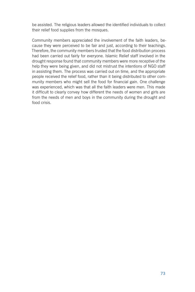be assisted. The religious leaders allowed the identified individuals to collect their relief food supplies from the mosques.

Community members appreciated the involvement of the faith leaders, because they were perceived to be fair and just, according to their teachings. Therefore, the community members trusted that the food distribution process had been carried out fairly for everyone. Islamic Relief staff involved in the drought response found that community members were more receptive of the help they were being given, and did not mistrust the intentions of NGO staff in assisting them. The process was carried out on time, and the appropriate people received the relief food, rather than it being distributed to other community members who might sell the food for financial gain. One challenge was experienced, which was that all the faith leaders were men. This made it difficult to clearly convey how different the needs of women and girls are from the needs of men and boys in the community during the drought and food crisis.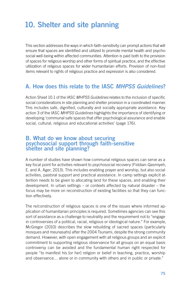# 10. Shelter and site planning

This section addresses the ways in which faith-sensitivity can prompt actions that will ensure that spaces are identified and utilized to promote mental health and psychosocial well-being within affected communities. Attention is paid both to the provision of spaces for religious worship and other forms of spiritual practice, and the effective utilization of religious spaces for wider humanitarian efforts. Provision of non-food items relevant to rights of religious practice and expression is also considered.

# A. How does this relate to the IASC *MHPSS Guidelines*?

Action Sheet 10.1 of the IASC *MHPSS Guidelines* relates to the inclusion of specific social considerations in site planning and shelter provision in a coordinated manner. This includes safe, dignified, culturally and socially appropriate assistance. Key action 3 of the IASC *MHPSS Guidelines* highlights the importance of identifying or developing 'communal safe spaces that offer psychological assurance and enable social, cultural, religious and educational activities' (page 176).

### B. What do we know about securing psychosocial support through faith-sensitive shelter and site planning?

A number of studies have shown how communal religious spaces can serve as a key focal point for activities relevant to psychosocial recovery (Fiddian-Qasmiyeh, E. and A. Ager, 2013). This includes enabling prayer and worship, but also social activities, pastoral support and practical assistance. In camp settings explicit attention needs to be given to allocating land for these spaces, and enabling their development. In urban settings – or contexts affected by natural disaster – the focus may be more on reconstruction of existing facilities so that they can function effectively.

The re/construction of religious spaces is one of the issues where informed application of humanitarian principles is required. Sometimes agencies can see this sort of assistance as a challenge to neutrality and the requirement not to "engage in controversies of a political, racial, religious or ideological nature." For example, McGregor (2010) describes the slow rebuilding of sacred spaces (particularly mosques and meunasahs) after the 2004 Tsunami, despite the strong community demand. However, with open engagement with all religious groups and an explicit commitment to supporting religious observance for all groups on an equal basis controversy can be avoided and the fundamental human right respected for people "to manifest his [or her] religion or belief in teaching, practice, worship and observance… alone or in community with others and in public or private."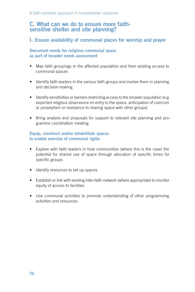### C. What can we do to ensure more faithsensitive shelter and site planning?

### 1. Ensure availability of communal places for worship and prayer

Document needs for religious communal space as part of broader needs assessment

- Map faith groupings in the affected population and their existing access to communal spaces
- Identify faith leaders in the various faith groups and involve them in planning and decision-making
- Identify sensitivities or barriers restricting access to the broader population (e.g. expected religious observance on entry to the space, anticipation of coercion or proselytism or resistance to sharing space with other groups)
- Bring analysis and proposals for support to relevant site planning and programme coordination meeting.

#### Equip, construct and/or rehabilitate spaces to enable exercise of communal rights

- Explore with faith leaders in host communities (where this is the case) the potential for shared use of space through allocation of specific times for specific groups
- Identify resources to set up spaces
- Establish or link with existing inter-faith network (where appropriate) to monitor equity of access to facilities
- Use communal activities to promote understanding of other programming activities and resources.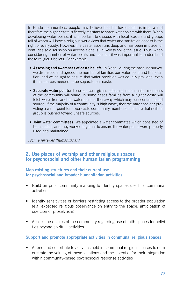In Hindu communities, people may believe that the lower caste is impure and therefore the higher caste is fiercely resistant to share water points with them. When developing water points, it is important to discuss with local leaders and groups (all of whom will have a religious worldview) that water and sanitation access is the right of everybody. However, the caste issue runs deep and has been in place for centuries so discussion on access alone is unlikely to solve the issue. Thus, when considering number of water points and location it was important to understand these religious beliefs. For example:

- Assessing and awareness of caste beliefs: In Nepal, during the baseline survey, we discussed and agreed the number of families per water point and the location, and we sought to ensure that water provision was equally provided, even if the sources needed to be separate per caste.
- Separate water points: If one source is given, it does not mean that all members of the community will share; in some cases families from a higher caste will fetch water from another water point further away, which may be a contaminated source. If the majority of a community is high caste, then we may consider providing a water point for lower caste community members to ensure that neither group is pushed toward unsafe sources.
- Joint water committees: We appointed a water committee which consisted of both castes, and they worked together to ensure the water points were properly used and maintained.

*From a reviewer (humanitarian)*

### 2. Use places of worship and other religious spaces for psychosocial and other humanitarian programming

#### Map existing structures and their current use for psychosocial and broader humanitarian activities

- Build on prior community mapping to identify spaces used for communal activities
- Identify sensitivities or barriers restricting access to the broader population (e.g. expected religious observance on entry to the space, anticipation of coercion or proselytism)
- Assess the desires of the community regarding use of faith spaces for activities beyond spiritual activities.

#### Support and promote appropriate activities in communal religious spaces

• Attend and contribute to activities held in communal religious spaces to demonstrate the valuing of these locations and the potential for their integration within community-based psychosocial response activities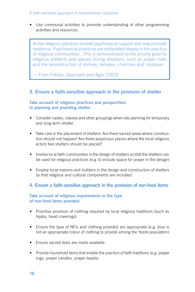#### A faith-sensitive approach in humanitarian response

• Use communal activities to promote understanding of other programming activities and resources.

Active religious practices provide psychosocial support and may promote resilience. Psychosocial practices are embedded deeply in the practice of religious communities…This is demonstrated by the priority given to religious artefacts and spaces during disasters, such as prayer mats and the reconstruction of shrines, temples, churches and mosques.

— From Fiddian-Qasmiyeh and Ager (2013)

#### 3. Ensure a faith-sensitive approach in the provision of shelter

#### Take account of religious practices and perspectives in planning and providing shelter

- Consider castes, classes and other groupings when site planning for temporary and long-term shelter
- Take care in the placement of shelters: Are there sacred areas where construction should not happen? Are there auspicious places where the local religious actors feel shelters should be placed?
- Involve local faith communities in the design of shelters so that the shelters can be used for religious practices (e.g. to include space for prayer in the design)
- Employ local masons and builders in the design and construction of shelters so that religious and cultural components are included.

### 4. Ensure a faith-sensitive approach in the provision of non-food items

#### Take account of religious requirements in the type of non-food items provided

- Prioritise provision of clothing required by local religious traditions (such as hijabs, head coverings)
- Ensure the type of NFIs and clothing provided are appropriate (e.g. blue is not an appropriate colour of clothing to provide among the Yezidi population)
- Ensure sacred texts are made available
- Provide household items that enable the practice of faith traditions (e.g. prayer rugs, prayer candles, prayer beads).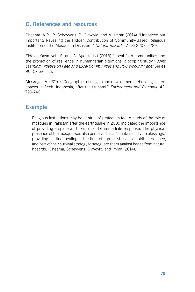# D. References and resources

Cheema, A.R., R. Scheyvens, B. Glavovic, and M. Imran (2014) "Unnoticed but Important: Revealing the Hidden Contribution of Community-Based Religious Institution of the Mosque in Disasters." *Natural Hazards*, 71 3: 2207–2229.

Fiddian-Qasmiyeh, E. and A. Ager (eds.) (2013) "Local faith communities and the promotion of resilience in humanitarian situations: a scoping study." *Joint Learning Initiative on Faith and Local Communities and RSC Working Paper* Series 90: Oxford: JLI.

McGregor, A. (2010) "Geographies of religion and development: rebuilding sacred spaces in Aceh, Indonesia, after the tsunami." *Environment and Planning*, 42: 729-746.

# Example

Religious institutions may be centres of protection too. A study of the role of mosques in Pakistan after the earthquake in 2005 indicated the importance of providing a space and forum for the immediate response. The physical presence of the mosque was also perceived as a "fountain of divine blessings," providing spiritual healing at the time of a great stress – a spiritual defence, and part of their survival strategy to safeguard them against losses from natural hazards. (Cheema, Scheyvens, Glavovic, and Imran, 2014).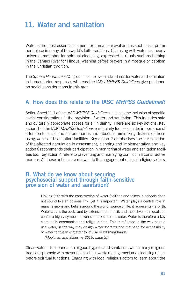# 11. Water and sanitation

Water is the most essential element for human survival and as such has a prominent place in many of the world's faith traditions. Cleansing with water is a nearly universal metaphor for spiritual cleansing, expressed in rituals such as bathing in the Ganges River for Hindus, washing before prayers in a mosque or baptism in the Christian tradition.

The *Sphere Handbook* (2011) outlines the overall standards for water and sanitation in humanitarian response, whereas the IASC *MHPSS Guidelines* give guidance on social considerations in this area.

# A. How does this relate to the IASC *MHPSS Guidelines*?

Action Sheet 11.1 of the IASC *MHPSS Guidelines* relates to the inclusion of specific social considerations in the provision of water and sanitation. This includes safe and culturally appropriate access for all in dignity. There are six key actions. Key action 1 of the IASC *MHPSS Guidelines* particularly focuses on the importance of attention to social and cultural norms and taboos in minimizing distress of those using water and sanitation facilities. Key action 2 emphasises the participation of the affected population in assessment, planning and implementation and key action 6 recommends their participation in monitoring of water and sanitation facilities too. Key action 4 refers to preventing and managing conflict in a constructive manner. All these actions are relevant to the engagement of local religious actors.

### B. What do we know about securing psychosocial support through faith-sensitive provision of water and sanitation?

Linking faith with the construction of water facilities and toilets in schools does not sound like an obvious link, yet it is important. Water plays a central role in many religions and beliefs around the world: source of life, it represents (re)birth. Water cleans the body, and by extension purifies it, and these two main qualities confer a highly symbolic (even sacred) status to water. Water is therefore a key element in ceremonies and religious rites. This is reflected in the way people use water, in the way they design water systems and the need for accessibility of water for cleansing after toilet use or washing hands. *(Mooijman and Sijbesma 2009, page 2.)*

Clean water is the foundation of good hygiene and sanitation, which many religious traditions promote with prescriptions about waste management and cleansing rituals before spiritual functions. Engaging with local religious actors to learn about the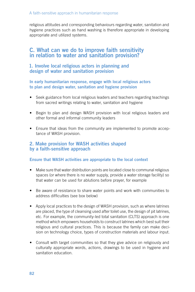religious attitudes and corresponding behaviours regarding water, sanitation and hygiene practices such as hand washing is therefore appropriate in developing appropriate and utilized systems.

### C. What can we do to improve faith sensitivity in relation to water and sanitation provision?

#### 1. Involve local religious actors in planning and design of water and sanitation provision

In early humanitarian response, engage with local religious actors to plan and design water, sanitation and hygiene provision

- Seek guidance from local religious leaders and teachers regarding teachings from sacred writings relating to water, sanitation and hygiene
- Begin to plan and design WASH provision with local religious leaders and other formal and informal community leaders
- Ensure that ideas from the community are implemented to promote acceptance of WASH provision.

### 2. Make provision for WASH activities shaped by a faith-sensitive approach

#### Ensure that WASH activities are appropriate to the local context

- Make sure that water distribution points are located close to communal religious spaces (or where there is no water supply, provide a water storage facility) so that water can be used for ablutions before prayer, for example
- Be aware of resistance to share water points and work with communities to address difficulties (see box below)
- Apply local practices to the design of WASH provision, such as where latrines are placed, the type of cleansing used after toilet use, the design of pit latrines, etc. For example, the community-led total sanitation (CLTS) approach is one method which empowers households to construct latrines which best suit their religious and cultural practices. This is because the family can make decision on technology choice, types of construction materials and labour input.
- Consult with target communities so that they give advice on religiously and culturally appropriate words, actions, drawings to be used in hygiene and sanitation education.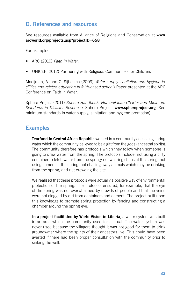# D. References and resources

See resources available from Alliance of Religions and Conservation at www. arcworld.org/projects.asp?projectID=658

For example:

- ARC (2010) *Faith in Water*.
- UNICEF (2012) Partnering with Religious Communities for Children.

Mooijman, A. and C. Sijbesma (2009) *Water supply, sanitation and hygiene facilities and related education in faith-based schools*.Paper presented at the ARC Conference on Faith in Water.

Sphere Project (2011) *Sphere Handbook: Humanitarian Charter and Minimum Standards in Disaster Response*. Sphere Project. www.sphereproject.org (See minimum standards in water supply, sanitation and hygiene promotion)

# Examples

**Tearfund In Central Africa Republic** worked in a community accessing spring water which the community believed to be a gift from the gods (ancestral spirits). The community therefore has protocols which they follow when someone is going to draw water from the spring. The protocols include: not using a dirty container to fetch water from the spring; not wearing shoes at the spring; not using cement at the spring; not chasing away animals which may be drinking from the spring; and not crowding the site.

We realised that these protocols were actually a positive way of environmental protection of the spring. The protocols ensured, for example, that the eye of the spring was not overwhelmed by crowds of people and that the veins were not clogged by dirt from containers and cement. The project built upon this knowledge to promote spring protection by fencing and constructing a chamber around the spring eye.

In a project facilitated by World Vision in Liberia, a water system was built in an area which the community used for a ritual. The water system was never used because the villagers thought it was not good for them to drink groundwater where the spirits of their ancestors live. This could have been averted if there had been proper consultation with the community prior to sinking the well.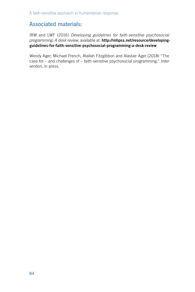# Associated materials:

IRW and LWF (2016) *Developing guidelines for faith-sensitive psychosocial programming: A desk review*, available at: http://mhpss.net/resource/developingguidelines-for-faith-sensitive-psychosocial-programming-a-desk-review

Wendy Ager, Michael French, Atallah Fitzgibbon and Alastair Ager (2018) "The case for – and challenges of – faith-sensitive psychosocial programming." *Intervention*, in press.